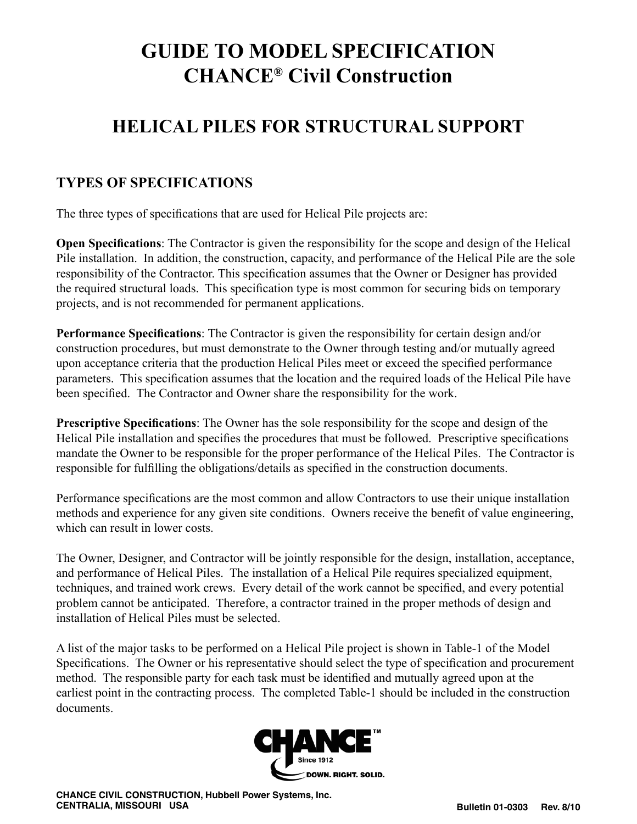# **GUIDE TO MODEL SPECIFICATION CHANCE® Civil Construction**

# **HELICAL PILES FOR STRUCTURAL SUPPORT**

# **TYPES OF SPECIFICATIONS**

The three types of specifications that are used for Helical Pile projects are:

**Open Specifications**: The Contractor is given the responsibility for the scope and design of the Helical Pile installation. In addition, the construction, capacity, and performance of the Helical Pile are the sole responsibility of the Contractor. This specification assumes that the Owner or Designer has provided the required structural loads. This specification type is most common for securing bids on temporary projects, and is not recommended for permanent applications.

**Performance Specifications**: The Contractor is given the responsibility for certain design and/or construction procedures, but must demonstrate to the Owner through testing and/or mutually agreed upon acceptance criteria that the production Helical Piles meet or exceed the specified performance parameters. This specification assumes that the location and the required loads of the Helical Pile have been specified. The Contractor and Owner share the responsibility for the work.

**Prescriptive Specifications**: The Owner has the sole responsibility for the scope and design of the Helical Pile installation and specifies the procedures that must be followed. Prescriptive specifications mandate the Owner to be responsible for the proper performance of the Helical Piles. The Contractor is responsible for fulfilling the obligations/details as specified in the construction documents.

Performance specifications are the most common and allow Contractors to use their unique installation methods and experience for any given site conditions. Owners receive the benefit of value engineering, which can result in lower costs.

The Owner, Designer, and Contractor will be jointly responsible for the design, installation, acceptance, and performance of Helical Piles. The installation of a Helical Pile requires specialized equipment, techniques, and trained work crews. Every detail of the work cannot be specified, and every potential problem cannot be anticipated. Therefore, a contractor trained in the proper methods of design and installation of Helical Piles must be selected.

A list of the major tasks to be performed on a Helical Pile project is shown in Table-1 of the Model Specifications. The Owner or his representative should select the type of specification and procurement method. The responsible party for each task must be identified and mutually agreed upon at the earliest point in the contracting process. The completed Table-1 should be included in the construction documents.

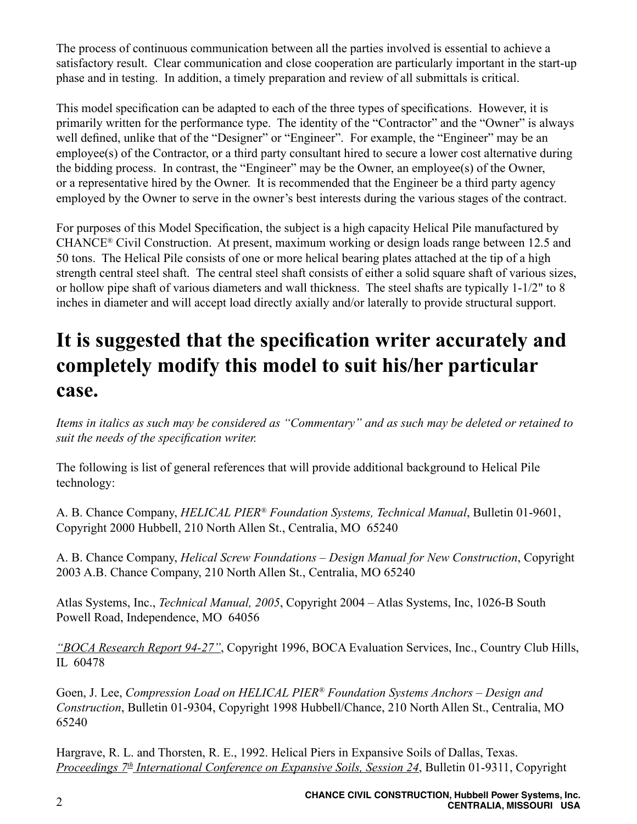The process of continuous communication between all the parties involved is essential to achieve a satisfactory result. Clear communication and close cooperation are particularly important in the start-up phase and in testing. In addition, a timely preparation and review of all submittals is critical.

This model specification can be adapted to each of the three types of specifications. However, it is primarily written for the performance type. The identity of the "Contractor" and the "Owner" is always well defined, unlike that of the "Designer" or "Engineer". For example, the "Engineer" may be an employee(s) of the Contractor, or a third party consultant hired to secure a lower cost alternative during the bidding process. In contrast, the "Engineer" may be the Owner, an employee(s) of the Owner, or a representative hired by the Owner. It is recommended that the Engineer be a third party agency employed by the Owner to serve in the owner's best interests during the various stages of the contract.

For purposes of this Model Specification, the subject is a high capacity Helical Pile manufactured by CHANCE® Civil Construction. At present, maximum working or design loads range between 12.5 and 50 tons. The Helical Pile consists of one or more helical bearing plates attached at the tip of a high strength central steel shaft. The central steel shaft consists of either a solid square shaft of various sizes, or hollow pipe shaft of various diameters and wall thickness. The steel shafts are typically 1-1/2" to 8 inches in diameter and will accept load directly axially and/or laterally to provide structural support.

# **It is suggested that the specification writer accurately and completely modify this model to suit his/her particular case.**

*Items in italics as such may be considered as "Commentary" and as such may be deleted or retained to suit the needs of the specification writer.*

The following is list of general references that will provide additional background to Helical Pile technology:

A. B. Chance Company, *HELICAL PIER® Foundation Systems, Technical Manual*, Bulletin 01-9601, Copyright 2000 Hubbell, 210 North Allen St., Centralia, MO 65240

A. B. Chance Company, *Helical Screw Foundations – Design Manual for New Construction*, Copyright 2003 A.B. Chance Company, 210 North Allen St., Centralia, MO 65240

Atlas Systems, Inc., *Technical Manual, 2005*, Copyright 2004 – Atlas Systems, Inc, 1026-B South Powell Road, Independence, MO 64056

*"BOCA Research Report 94-27"*, Copyright 1996, BOCA Evaluation Services, Inc., Country Club Hills, IL 60478

Goen, J. Lee, *Compression Load on HELICAL PIER® Foundation Systems Anchors – Design and Construction*, Bulletin 01-9304, Copyright 1998 Hubbell/Chance, 210 North Allen St., Centralia, MO 65240

Hargrave, R. L. and Thorsten, R. E., 1992. Helical Piers in Expansive Soils of Dallas, Texas. *Proceedings 7th International Conference on Expansive Soils, Session 24*, Bulletin 01-9311, Copyright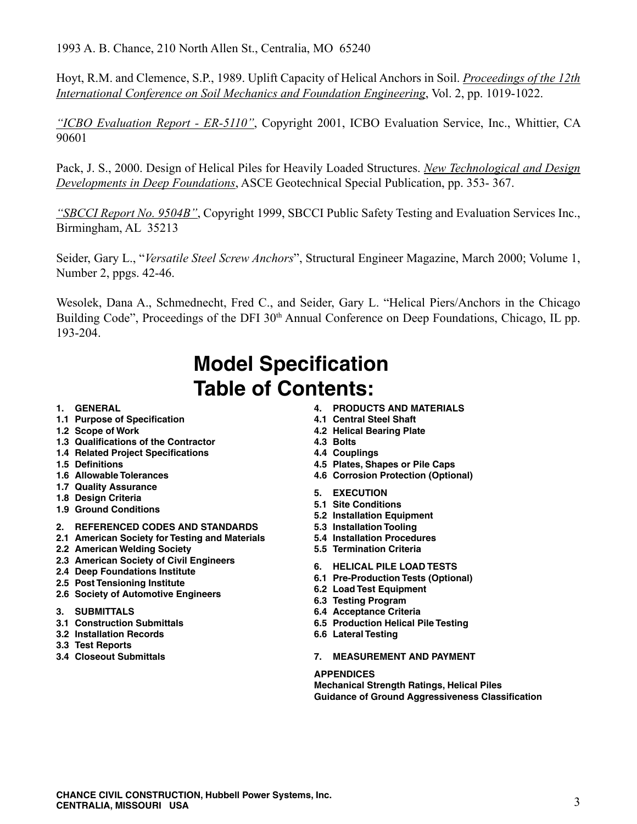1993 A. B. Chance, 210 North Allen St., Centralia, MO 65240

Hoyt, R.M. and Clemence, S.P., 1989. Uplift Capacity of Helical Anchors in Soil. *Proceedings of the 12th International Conference on Soil Mechanics and Foundation Engineering*, Vol. 2, pp. 1019-1022.

*"ICBO Evaluation Report - ER-5110"*, Copyright 2001, ICBO Evaluation Service, Inc., Whittier, CA 90601

Pack, J. S., 2000. Design of Helical Piles for Heavily Loaded Structures. *New Technological and Design Developments in Deep Foundations*, ASCE Geotechnical Special Publication, pp. 353- 367.

*"SBCCI Report No. 9504B"*, Copyright 1999, SBCCI Public Safety Testing and Evaluation Services Inc., Birmingham, AL 35213

Seider, Gary L., "*Versatile Steel Screw Anchors*", Structural Engineer Magazine, March 2000; Volume 1, Number 2, ppgs. 42-46.

Wesolek, Dana A., Schmednecht, Fred C., and Seider, Gary L. "Helical Piers/Anchors in the Chicago Building Code", Proceedings of the DFI 30<sup>th</sup> Annual Conference on Deep Foundations, Chicago, IL pp. 193-204.

# **Model Specification Table of Contents:**

- **1. GENERAL**
- **1.1 Purpose of Specification**
- **1.2 Scope of Work**
- **1.3 Qualifications of the Contractor**
- **1.4 Related Project Specifications**
- **1.5 Definitions**
- **1.6 Allowable Tolerances**
- **1.7 Quality Assurance**
- **1.8 Design Criteria**
- **1.9 Ground Conditions**

#### **2. REFERENCED CODES AND STANDARDS**

- **2.1 American Society for Testing and Materials**
- **2.2 American Welding Society**
- **2.3 American Society of Civil Engineers**
- **2.4 Deep Foundations Institute**
- **2.5 Post Tensioning Institute**
- **2.6 Society of Automotive Engineers**
- **3. SUBMITTALS**
- **3.1 Construction Submittals**
- **3.2 Installation Records**
- **3.3 Test Reports**
- **3.4 Closeout Submittals**
- **4. PRODUCTS AND MATERIALS**
- **4.1 Central Steel Shaft**
- **4.2 Helical Bearing Plate**
- **4.3 Bolts**
- **4.4 Couplings**
- **4.5 Plates, Shapes or Pile Caps**
- **4.6 Corrosion Protection (Optional)**
- **5. EXECUTION**
- **5.1 Site Conditions**
- **5.2 Installation Equipment**
- **5.3 Installation Tooling**
- **5.4 Installation Procedures**
- **5.5 Termination Criteria**
- **6. HELICAL PILE LOAD TESTS**
- **6.1 Pre-Production Tests (Optional)**
- **6.2 Load Test Equipment**
- **6.3 Testing Program**
- **6.4 Acceptance Criteria**
- **6.5 Production Helical Pile Testing**
- **6.6 Lateral Testing**
- **7. MEASUREMENT AND PAYMENT**

#### **APPENDICES**

**Mechanical Strength Ratings, Helical Piles Guidance of Ground Aggressiveness Classification**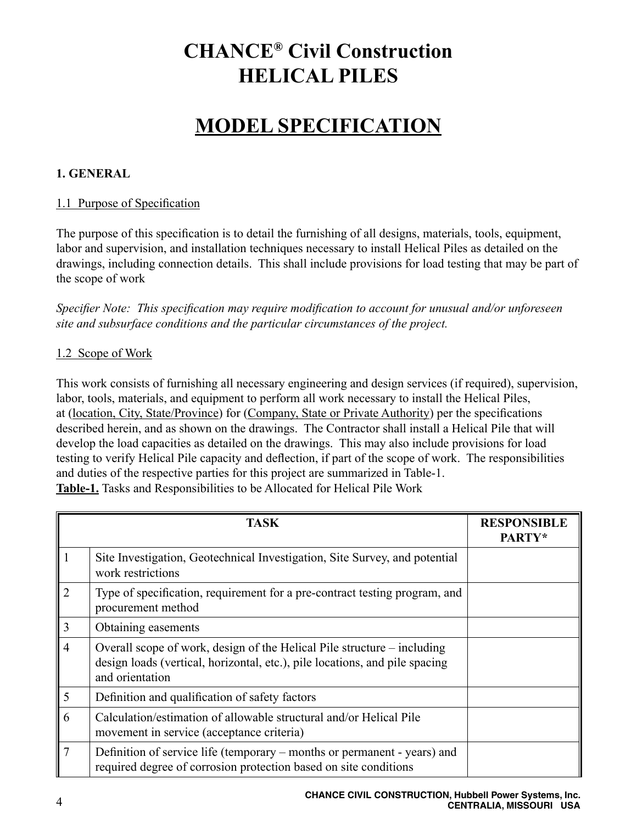# **CHANCE® Civil Construction HELICAL PILES**

# **MODEL SPECIFICATION**

#### **1. GENERAL**

#### 1.1 Purpose of Specification

The purpose of this specification is to detail the furnishing of all designs, materials, tools, equipment, labor and supervision, and installation techniques necessary to install Helical Piles as detailed on the drawings, including connection details. This shall include provisions for load testing that may be part of the scope of work

*Specifier Note: This specification may require modification to account for unusual and/or unforeseen site and subsurface conditions and the particular circumstances of the project.*

#### 1.2 Scope of Work

This work consists of furnishing all necessary engineering and design services (if required), supervision, labor, tools, materials, and equipment to perform all work necessary to install the Helical Piles, at (location, City, State/Province) for (Company, State or Private Authority) per the specifications described herein, and as shown on the drawings. The Contractor shall install a Helical Pile that will develop the load capacities as detailed on the drawings. This may also include provisions for load testing to verify Helical Pile capacity and deflection, if part of the scope of work. The responsibilities and duties of the respective parties for this project are summarized in Table-1. **Table-1.** Tasks and Responsibilities to be Allocated for Helical Pile Work

|                | <b>TASK</b>                                                                                                                                                               | <b>RESPONSIBLE</b><br>PARTY* |
|----------------|---------------------------------------------------------------------------------------------------------------------------------------------------------------------------|------------------------------|
|                | Site Investigation, Geotechnical Investigation, Site Survey, and potential<br>work restrictions                                                                           |                              |
| $\overline{2}$ | Type of specification, requirement for a pre-contract testing program, and<br>procurement method                                                                          |                              |
| $\overline{3}$ | Obtaining easements                                                                                                                                                       |                              |
| $\overline{4}$ | Overall scope of work, design of the Helical Pile structure – including<br>design loads (vertical, horizontal, etc.), pile locations, and pile spacing<br>and orientation |                              |
| 5              | Definition and qualification of safety factors                                                                                                                            |                              |
| 6              | Calculation/estimation of allowable structural and/or Helical Pile<br>movement in service (acceptance criteria)                                                           |                              |
| $\overline{7}$ | Definition of service life (temporary – months or permanent - years) and<br>required degree of corrosion protection based on site conditions                              |                              |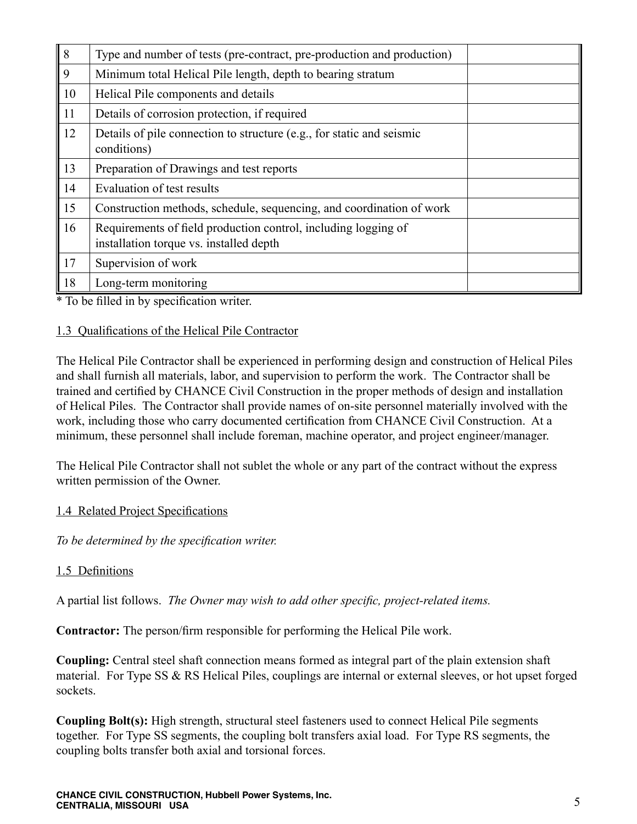| $\overline{\vert 8}$ | Type and number of tests (pre-contract, pre-production and production)                                    |
|----------------------|-----------------------------------------------------------------------------------------------------------|
| $\overline{9}$       | Minimum total Helical Pile length, depth to bearing stratum                                               |
| 10                   | Helical Pile components and details                                                                       |
| <sup>11</sup>        | Details of corrosion protection, if required                                                              |
| 12                   | Details of pile connection to structure (e.g., for static and seismic<br>conditions)                      |
| $\parallel$ 13       | Preparation of Drawings and test reports                                                                  |
| 14                   | Evaluation of test results                                                                                |
| $\vert$ 15           | Construction methods, schedule, sequencing, and coordination of work                                      |
| 16                   | Requirements of field production control, including logging of<br>installation torque vs. installed depth |
| $\vert$ 17           | Supervision of work                                                                                       |
| 18                   | Long-term monitoring                                                                                      |

\* To be filled in by specification writer.

#### 1.3 Qualifications of the Helical Pile Contractor

The Helical Pile Contractor shall be experienced in performing design and construction of Helical Piles and shall furnish all materials, labor, and supervision to perform the work. The Contractor shall be trained and certified by CHANCE Civil Construction in the proper methods of design and installation of Helical Piles. The Contractor shall provide names of on-site personnel materially involved with the work, including those who carry documented certification from CHANCE Civil Construction. At a minimum, these personnel shall include foreman, machine operator, and project engineer/manager.

The Helical Pile Contractor shall not sublet the whole or any part of the contract without the express written permission of the Owner.

#### 1.4 Related Project Specifications

*To be determined by the specification writer.*

#### 1.5 Definitions

A partial list follows. *The Owner may wish to add other specific, project-related items.*

**Contractor:** The person/firm responsible for performing the Helical Pile work.

**Coupling:** Central steel shaft connection means formed as integral part of the plain extension shaft material. For Type SS & RS Helical Piles, couplings are internal or external sleeves, or hot upset forged sockets.

**Coupling Bolt(s):** High strength, structural steel fasteners used to connect Helical Pile segments together. For Type SS segments, the coupling bolt transfers axial load. For Type RS segments, the coupling bolts transfer both axial and torsional forces.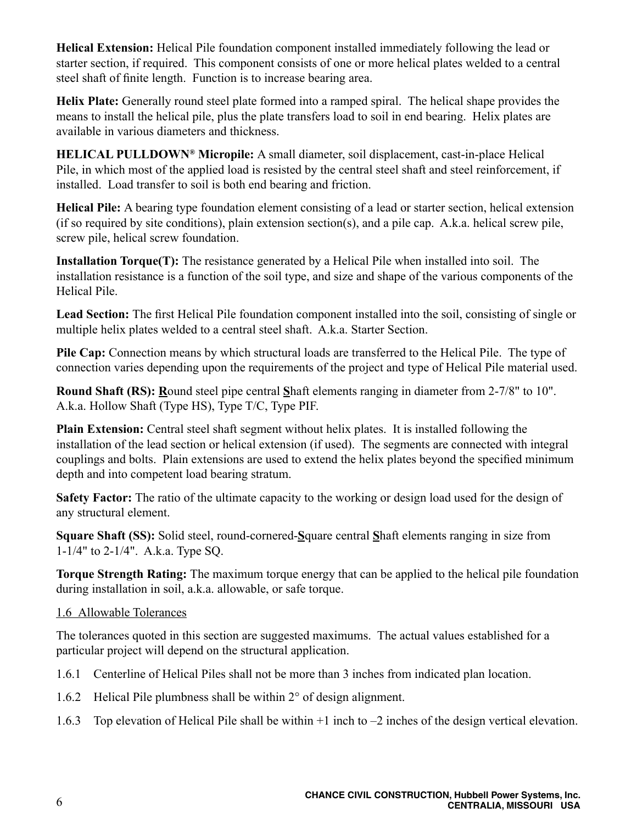**Helical Extension:** Helical Pile foundation component installed immediately following the lead or starter section, if required. This component consists of one or more helical plates welded to a central steel shaft of finite length. Function is to increase bearing area.

**Helix Plate:** Generally round steel plate formed into a ramped spiral. The helical shape provides the means to install the helical pile, plus the plate transfers load to soil in end bearing. Helix plates are available in various diameters and thickness.

**HELICAL PULLDOWN® Micropile:** A small diameter, soil displacement, cast-in-place Helical Pile, in which most of the applied load is resisted by the central steel shaft and steel reinforcement, if installed. Load transfer to soil is both end bearing and friction.

**Helical Pile:** A bearing type foundation element consisting of a lead or starter section, helical extension (if so required by site conditions), plain extension section(s), and a pile cap. A.k.a. helical screw pile, screw pile, helical screw foundation.

**Installation Torque(T):** The resistance generated by a Helical Pile when installed into soil. The installation resistance is a function of the soil type, and size and shape of the various components of the Helical Pile.

**Lead Section:** The first Helical Pile foundation component installed into the soil, consisting of single or multiple helix plates welded to a central steel shaft. A.k.a. Starter Section.

**Pile Cap:** Connection means by which structural loads are transferred to the Helical Pile. The type of connection varies depending upon the requirements of the project and type of Helical Pile material used.

**Round Shaft (RS): R**ound steel pipe central **S**haft elements ranging in diameter from 2-7/8" to 10". A.k.a. Hollow Shaft (Type HS), Type T/C, Type PIF.

**Plain Extension:** Central steel shaft segment without helix plates. It is installed following the installation of the lead section or helical extension (if used). The segments are connected with integral couplings and bolts. Plain extensions are used to extend the helix plates beyond the specified minimum depth and into competent load bearing stratum.

**Safety Factor:** The ratio of the ultimate capacity to the working or design load used for the design of any structural element.

**Square Shaft (SS):** Solid steel, round-cornered-**S**quare central **S**haft elements ranging in size from 1-1/4" to 2-1/4". A.k.a. Type SQ.

**Torque Strength Rating:** The maximum torque energy that can be applied to the helical pile foundation during installation in soil, a.k.a. allowable, or safe torque.

# 1.6 Allowable Tolerances

The tolerances quoted in this section are suggested maximums. The actual values established for a particular project will depend on the structural application.

- 1.6.1 Centerline of Helical Piles shall not be more than 3 inches from indicated plan location.
- 1.6.2 Helical Pile plumbness shall be within 2° of design alignment.
- 1.6.3 Top elevation of Helical Pile shall be within +1 inch to –2 inches of the design vertical elevation.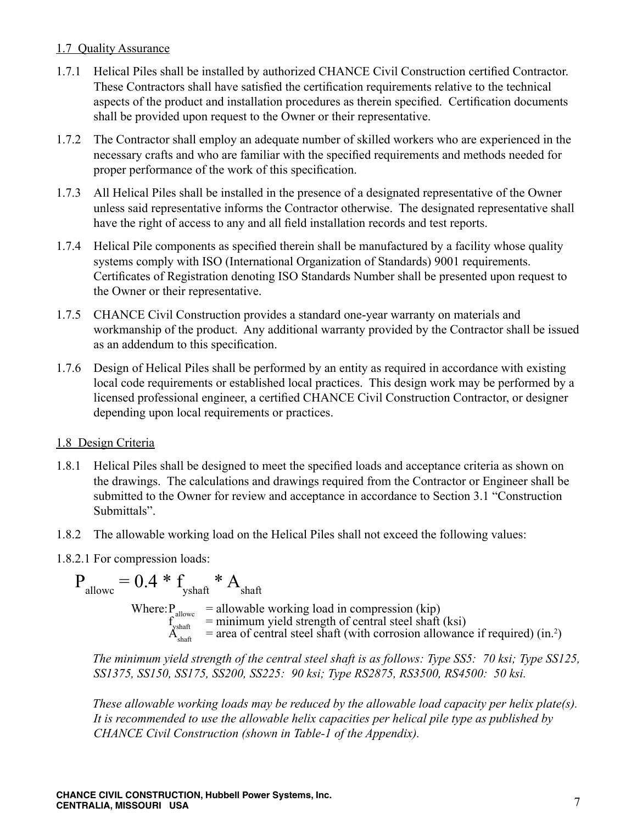# 1.7 Quality Assurance

- 1.7.1 Helical Piles shall be installed by authorized CHANCE Civil Construction certified Contractor. These Contractors shall have satisfied the certification requirements relative to the technical aspects of the product and installation procedures as therein specified. Certification documents shall be provided upon request to the Owner or their representative.
- 1.7.2 The Contractor shall employ an adequate number of skilled workers who are experienced in the necessary crafts and who are familiar with the specified requirements and methods needed for proper performance of the work of this specification.
- 1.7.3 All Helical Piles shall be installed in the presence of a designated representative of the Owner unless said representative informs the Contractor otherwise. The designated representative shall have the right of access to any and all field installation records and test reports.
- 1.7.4 Helical Pile components as specified therein shall be manufactured by a facility whose quality systems comply with ISO (International Organization of Standards) 9001 requirements. Certificates of Registration denoting ISO Standards Number shall be presented upon request to the Owner or their representative.
- 1.7.5 CHANCE Civil Construction provides a standard one-year warranty on materials and workmanship of the product. Any additional warranty provided by the Contractor shall be issued as an addendum to this specification.
- 1.7.6 Design of Helical Piles shall be performed by an entity as required in accordance with existing local code requirements or established local practices. This design work may be performed by a licensed professional engineer, a certified CHANCE Civil Construction Contractor, or designer depending upon local requirements or practices.

# 1.8 Design Criteria

- 1.8.1 Helical Piles shall be designed to meet the specified loads and acceptance criteria as shown on the drawings. The calculations and drawings required from the Contractor or Engineer shall be submitted to the Owner for review and acceptance in accordance to Section 3.1 "Construction Submittals".
- 1.8.2 The allowable working load on the Helical Piles shall not exceed the following values:
- 1.8.2.1 For compression loads:

 $\label{eq:pshaff} \mathbf{P}_{\text{allowoc}} = 0.4 \ast \mathbf{f}_{\text{yshaff}} \ast \mathbf{A}_{\text{shaff}}$ Where:  $P_{\text{allow}} = \text{allowable working load in compression (kip)}$  $f_{\text{yshaf}}^{\text{anow}}$  = minimum yield strength of central steel shaft (ksi)  $A_{\text{shaf}}^{\text{start}}$  = area of central steel shaft (with corrosion allowance if required) (in.<sup>2</sup>)

*The minimum yield strength of the central steel shaft is as follows: Type SS5: 70 ksi; Type SS125, SS1375, SS150, SS175, SS200, SS225: 90 ksi; Type RS2875, RS3500, RS4500: 50 ksi.* 

*These allowable working loads may be reduced by the allowable load capacity per helix plate(s). It is recommended to use the allowable helix capacities per helical pile type as published by CHANCE Civil Construction (shown in Table-1 of the Appendix).*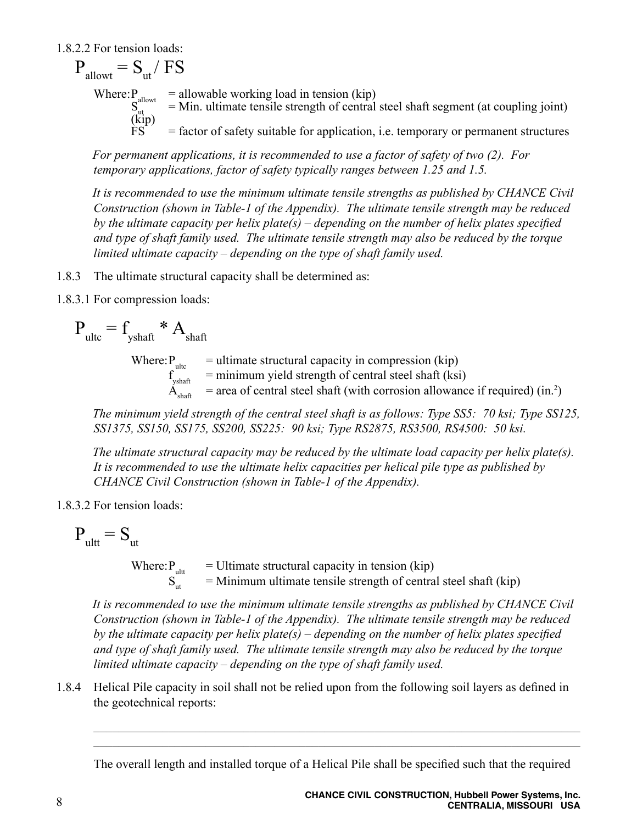1.8.2.2 For tension loads:

 $P_{\text{allowt}} = S_{\text{nt}} / FS$ Where:  $P_{\text{allow}} = \text{allowable working load in tension (kip)}$  $S_{\text{cut}}^{\text{anowt}}$  = Min. ultimate tensile strength of central steel shaft segment (at coupling joint) Where:  $\frac{S_{\text{allow}}}{S_{\text{cut}}}$ <br>(kip)<br>FS  $=$  factor of safety suitable for application, i.e. temporary or permanent structures

*For permanent applications, it is recommended to use a factor of safety of two (2). For temporary applications, factor of safety typically ranges between 1.25 and 1.5.*

*It is recommended to use the minimum ultimate tensile strengths as published by CHANCE Civil Construction (shown in Table-1 of the Appendix). The ultimate tensile strength may be reduced by the ultimate capacity per helix plate(s) – depending on the number of helix plates specified and type of shaft family used. The ultimate tensile strength may also be reduced by the torque limited ultimate capacity – depending on the type of shaft family used.*

- 1.8.3 The ultimate structural capacity shall be determined as:
- 1.8.3.1 For compression loads:

$$
P_{ultc} = f_{yshath} * A_{shaff}
$$

 $=$  ultimate structural capacity in compression (kip) Where:  $P_{\text{ultc}}$  $=$  minimum yield strength of central steel shaft (ksi)  $\dot{A}_{\text{shaf}}$  = area of central steel shaft (with corrosion allowance if required) (in.<sup>2</sup>)

*The minimum yield strength of the central steel shaft is as follows: Type SS5: 70 ksi; Type SS125, SS1375, SS150, SS175, SS200, SS225: 90 ksi; Type RS2875, RS3500, RS4500: 50 ksi.* 

*The ultimate structural capacity may be reduced by the ultimate load capacity per helix plate(s). It is recommended to use the ultimate helix capacities per helical pile type as published by CHANCE Civil Construction (shown in Table-1 of the Appendix).*

1.8.3.2 For tension loads:

$$
\mathbf{P}_{\text{ultt}} = \mathbf{S}_{\text{ut}}
$$

Where:  $P_{\text{ultt}}$  = Ultimate structural capacity in tension (kip)<br>S<sub>...</sub> = Minimum ultimate tensile strength of centra  $=$  Minimum ultimate tensile strength of central steel shaft (kip)

*It is recommended to use the minimum ultimate tensile strengths as published by CHANCE Civil Construction (shown in Table-1 of the Appendix). The ultimate tensile strength may be reduced by the ultimate capacity per helix plate(s) – depending on the number of helix plates specified and type of shaft family used. The ultimate tensile strength may also be reduced by the torque limited ultimate capacity – depending on the type of shaft family used.*

1.8.4 Helical Pile capacity in soil shall not be relied upon from the following soil layers as defined in the geotechnical reports:

 $\mathcal{L}_\mathcal{L} = \{ \mathcal{L}_\mathcal{L} = \{ \mathcal{L}_\mathcal{L} = \{ \mathcal{L}_\mathcal{L} = \{ \mathcal{L}_\mathcal{L} = \{ \mathcal{L}_\mathcal{L} = \{ \mathcal{L}_\mathcal{L} = \{ \mathcal{L}_\mathcal{L} = \{ \mathcal{L}_\mathcal{L} = \{ \mathcal{L}_\mathcal{L} = \{ \mathcal{L}_\mathcal{L} = \{ \mathcal{L}_\mathcal{L} = \{ \mathcal{L}_\mathcal{L} = \{ \mathcal{L}_\mathcal{L} = \{ \mathcal{L}_\mathcal{$  $\_$  , and the contribution of the contribution of the contribution of the contribution of  $\mathcal{L}_\text{max}$ 

The overall length and installed torque of a Helical Pile shall be specified such that the required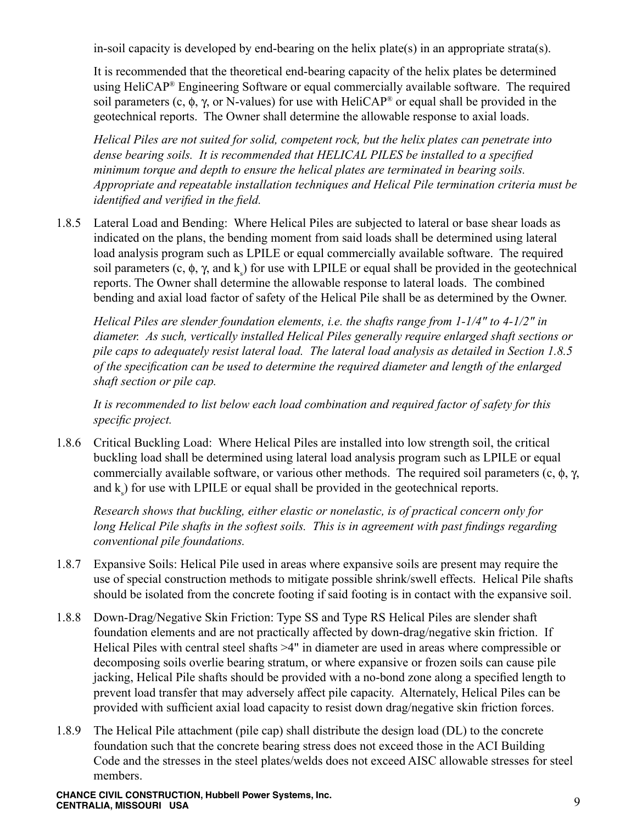in-soil capacity is developed by end-bearing on the helix plate(s) in an appropriate strata(s).

It is recommended that the theoretical end-bearing capacity of the helix plates be determined using HeliCAP® Engineering Software or equal commercially available software. The required soil parameters (c,  $\phi$ ,  $\gamma$ , or N-values) for use with HeliCAP<sup>®</sup> or equal shall be provided in the geotechnical reports. The Owner shall determine the allowable response to axial loads.

*Helical Piles are not suited for solid, competent rock, but the helix plates can penetrate into dense bearing soils. It is recommended that HELICAL PILES be installed to a specified minimum torque and depth to ensure the helical plates are terminated in bearing soils. Appropriate and repeatable installation techniques and Helical Pile termination criteria must be identified and verified in the field.*

1.8.5 Lateral Load and Bending: Where Helical Piles are subjected to lateral or base shear loads as indicated on the plans, the bending moment from said loads shall be determined using lateral load analysis program such as LPILE or equal commercially available software. The required soil parameters (c,  $\phi$ ,  $\gamma$ , and  $k_s$ ) for use with LPILE or equal shall be provided in the geotechnical reports. The Owner shall determine the allowable response to lateral loads. The combined bending and axial load factor of safety of the Helical Pile shall be as determined by the Owner.

*Helical Piles are slender foundation elements, i.e. the shafts range from 1-1/4" to 4-1/2" in diameter. As such, vertically installed Helical Piles generally require enlarged shaft sections or pile caps to adequately resist lateral load. The lateral load analysis as detailed in Section 1.8.5 of the specification can be used to determine the required diameter and length of the enlarged shaft section or pile cap.*

*It is recommended to list below each load combination and required factor of safety for this specific project.*

1.8.6 Critical Buckling Load: Where Helical Piles are installed into low strength soil, the critical buckling load shall be determined using lateral load analysis program such as LPILE or equal commercially available software, or various other methods. The required soil parameters  $(c, \phi, \gamma, \phi)$ and  $k<sub>s</sub>$ ) for use with LPILE or equal shall be provided in the geotechnical reports.

*Research shows that buckling, either elastic or nonelastic, is of practical concern only for long Helical Pile shafts in the softest soils. This is in agreement with past findings regarding conventional pile foundations.*

- 1.8.7 Expansive Soils: Helical Pile used in areas where expansive soils are present may require the use of special construction methods to mitigate possible shrink/swell effects. Helical Pile shafts should be isolated from the concrete footing if said footing is in contact with the expansive soil.
- 1.8.8 Down-Drag/Negative Skin Friction: Type SS and Type RS Helical Piles are slender shaft foundation elements and are not practically affected by down-drag/negative skin friction. If Helical Piles with central steel shafts >4" in diameter are used in areas where compressible or decomposing soils overlie bearing stratum, or where expansive or frozen soils can cause pile jacking, Helical Pile shafts should be provided with a no-bond zone along a specified length to prevent load transfer that may adversely affect pile capacity. Alternately, Helical Piles can be provided with sufficient axial load capacity to resist down drag/negative skin friction forces.
- 1.8.9 The Helical Pile attachment (pile cap) shall distribute the design load (DL) to the concrete foundation such that the concrete bearing stress does not exceed those in the ACI Building Code and the stresses in the steel plates/welds does not exceed AISC allowable stresses for steel members.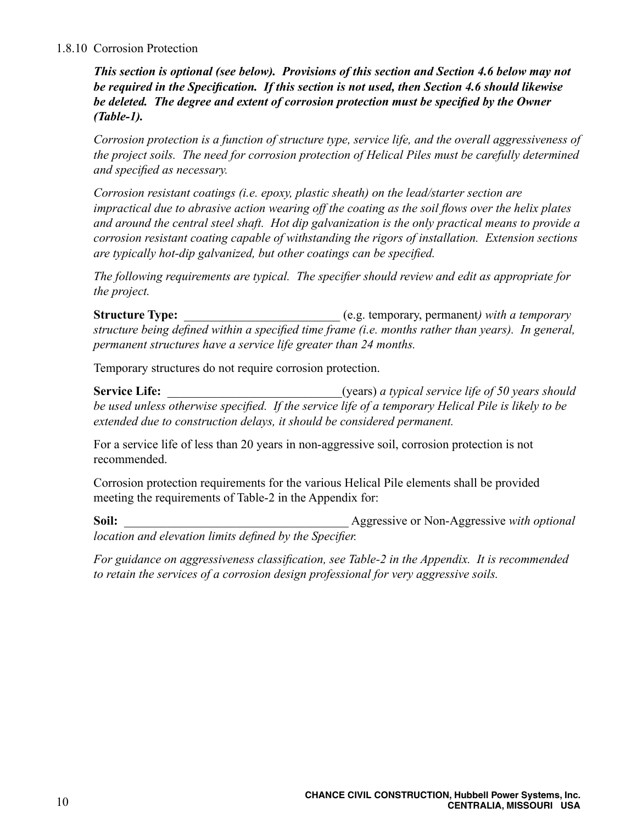#### 1.8.10 Corrosion Protection

*This section is optional (see below). Provisions of this section and Section 4.6 below may not be required in the Specification. If this section is not used, then Section 4.6 should likewise be deleted. The degree and extent of corrosion protection must be specified by the Owner (Table-1).*

*Corrosion protection is a function of structure type, service life, and the overall aggressiveness of the project soils. The need for corrosion protection of Helical Piles must be carefully determined and specified as necessary.*

*Corrosion resistant coatings (i.e. epoxy, plastic sheath) on the lead/starter section are impractical due to abrasive action wearing off the coating as the soil flows over the helix plates and around the central steel shaft. Hot dip galvanization is the only practical means to provide a corrosion resistant coating capable of withstanding the rigors of installation. Extension sections are typically hot-dip galvanized, but other coatings can be specified.*

*The following requirements are typical. The specifier should review and edit as appropriate for the project.*

**Structure Type:**  $\qquad \qquad$  (e.g. temporary, permanent) with a temporary *structure being defined within a specified time frame (i.e. months rather than years). In general, permanent structures have a service life greater than 24 months.*

Temporary structures do not require corrosion protection.

**Service Life:** \_\_\_\_\_\_\_\_\_\_\_\_\_\_\_\_\_\_\_\_\_\_\_\_\_\_\_\_(years) *a typical service life of 50 years should be used unless otherwise specified. If the service life of a temporary Helical Pile is likely to be extended due to construction delays, it should be considered permanent.*

For a service life of less than 20 years in non-aggressive soil, corrosion protection is not recommended.

Corrosion protection requirements for the various Helical Pile elements shall be provided meeting the requirements of Table-2 in the Appendix for:

**Soil:** \_\_\_\_\_\_\_\_\_\_\_\_\_\_\_\_\_\_\_\_\_\_\_\_\_\_\_\_\_\_\_\_\_\_\_\_ Aggressive or Non-Aggressive *with optional location and elevation limits defined by the Specifier.*

*For guidance on aggressiveness classification, see Table-2 in the Appendix. It is recommended to retain the services of a corrosion design professional for very aggressive soils.*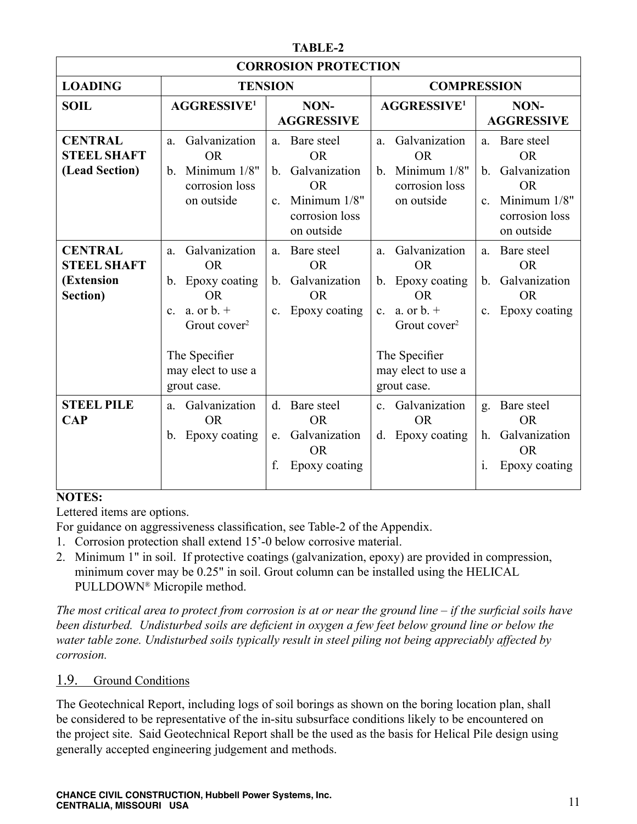| IABLE-2                                                        |                                                                                                                                                                                          |                                                                                                                                       |                                                                                                                                                                          |                                                                                                                                       |  |  |
|----------------------------------------------------------------|------------------------------------------------------------------------------------------------------------------------------------------------------------------------------------------|---------------------------------------------------------------------------------------------------------------------------------------|--------------------------------------------------------------------------------------------------------------------------------------------------------------------------|---------------------------------------------------------------------------------------------------------------------------------------|--|--|
| <b>CORROSION PROTECTION</b>                                    |                                                                                                                                                                                          |                                                                                                                                       |                                                                                                                                                                          |                                                                                                                                       |  |  |
| <b>LOADING</b><br><b>TENSION</b>                               |                                                                                                                                                                                          |                                                                                                                                       | <b>COMPRESSION</b>                                                                                                                                                       |                                                                                                                                       |  |  |
| <b>SOIL</b>                                                    | <b>AGGRESSIVE<sup>1</sup></b>                                                                                                                                                            | NON-<br><b>AGGRESSIVE</b>                                                                                                             | <b>AGGRESSIVE<sup>1</sup></b>                                                                                                                                            | NON-<br><b>AGGRESSIVE</b>                                                                                                             |  |  |
| <b>CENTRAL</b><br><b>STEEL SHAFT</b><br>(Lead Section)         | Galvanization<br>a.<br><b>OR</b><br>Minimum 1/8"<br>$b_{\cdot}$<br>corrosion loss<br>on outside                                                                                          | Bare steel<br>a.<br><b>OR</b><br>Galvanization<br>$b_{\cdot}$<br><b>OR</b><br>Minimum 1/8"<br>$C_{-}$<br>corrosion loss<br>on outside | Galvanization<br>a.<br><b>OR</b><br>Minimum 1/8"<br>b.<br>corrosion loss<br>on outside                                                                                   | a. Bare steel<br><b>OR</b><br>Galvanization<br>b <sub>1</sub><br><b>OR</b><br>Minimum 1/8"<br>$c_{-}$<br>corrosion loss<br>on outside |  |  |
| <b>CENTRAL</b><br><b>STEEL SHAFT</b><br>(Extension<br>Section) | Galvanization<br>a.<br><b>OR</b><br>Epoxy coating<br>b.<br><b>OR</b><br>a. or $b. +$<br>$\mathbf{c}$ .<br>Grout cover <sup>2</sup><br>The Specifier<br>may elect to use a<br>grout case. | Bare steel<br>a.<br><b>OR</b><br>Galvanization<br>b.<br><b>OR</b><br>Epoxy coating<br>$c_{\cdot}$                                     | Galvanization<br>a.<br><b>OR</b><br>Epoxy coating<br>b.<br><b>OR</b><br>a. or $b. +$<br>$c_{-}$<br>Grout cover $2$<br>The Specifier<br>may elect to use a<br>grout case. | Bare steel<br>a.<br><b>OR</b><br>Galvanization<br>b.<br><b>OR</b><br>Epoxy coating<br>$\mathbf{c}$ .                                  |  |  |
| <b>STEEL PILE</b><br><b>CAP</b>                                | Galvanization<br>a.<br><b>OR</b><br>Epoxy coating<br>b.                                                                                                                                  | Bare steel<br>$d_{\cdot}$<br><b>OR</b><br>Galvanization<br>e.<br><b>OR</b><br>f.<br>Epoxy coating                                     | Galvanization<br>$c_{\cdot}$<br><b>OR</b><br>Epoxy coating<br>d.                                                                                                         | Bare steel<br>g.<br><b>OR</b><br>Galvanization<br>h.<br><b>OR</b><br>Epoxy coating<br>$\mathbf{1}$ .                                  |  |  |

**TABLE-2**

# **NOTES:**

Lettered items are options.

For guidance on aggressiveness classification, see Table-2 of the Appendix.

- 1. Corrosion protection shall extend 15'-0 below corrosive material.
- 2. Minimum 1" in soil. If protective coatings (galvanization, epoxy) are provided in compression, minimum cover may be 0.25" in soil. Grout column can be installed using the HELICAL PULLDOWN® Micropile method.

*The most critical area to protect from corrosion is at or near the ground line – if the surficial soils have been disturbed. Undisturbed soils are deficient in oxygen a few feet below ground line or below the water table zone. Undisturbed soils typically result in steel piling not being appreciably affected by corrosion.*

# 1.9. Ground Conditions

The Geotechnical Report, including logs of soil borings as shown on the boring location plan, shall be considered to be representative of the in-situ subsurface conditions likely to be encountered on the project site. Said Geotechnical Report shall be the used as the basis for Helical Pile design using generally accepted engineering judgement and methods.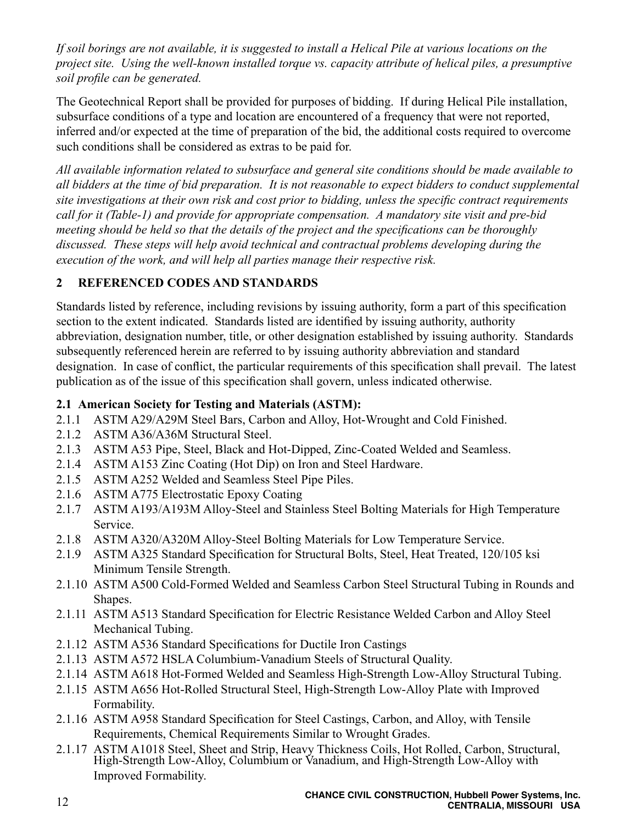*If soil borings are not available, it is suggested to install a Helical Pile at various locations on the project site. Using the well-known installed torque vs. capacity attribute of helical piles, a presumptive soil profile can be generated.*

The Geotechnical Report shall be provided for purposes of bidding. If during Helical Pile installation, subsurface conditions of a type and location are encountered of a frequency that were not reported, inferred and/or expected at the time of preparation of the bid, the additional costs required to overcome such conditions shall be considered as extras to be paid for.

*All available information related to subsurface and general site conditions should be made available to all bidders at the time of bid preparation. It is not reasonable to expect bidders to conduct supplemental site investigations at their own risk and cost prior to bidding, unless the specific contract requirements call for it (Table-1) and provide for appropriate compensation. A mandatory site visit and pre-bid meeting should be held so that the details of the project and the specifications can be thoroughly discussed. These steps will help avoid technical and contractual problems developing during the execution of the work, and will help all parties manage their respective risk.*

# **2 REFERENCED CODES AND STANDARDS**

Standards listed by reference, including revisions by issuing authority, form a part of this specification section to the extent indicated. Standards listed are identified by issuing authority, authority abbreviation, designation number, title, or other designation established by issuing authority. Standards subsequently referenced herein are referred to by issuing authority abbreviation and standard designation. In case of conflict, the particular requirements of this specification shall prevail. The latest publication as of the issue of this specification shall govern, unless indicated otherwise.

# **2.1 American Society for Testing and Materials (ASTM):**

- 2.1.1 ASTM A29/A29M Steel Bars, Carbon and Alloy, Hot-Wrought and Cold Finished.
- 2.1.2 ASTM A36/A36M Structural Steel.
- 2.1.3 ASTM A53 Pipe, Steel, Black and Hot-Dipped, Zinc-Coated Welded and Seamless.
- 2.1.4 ASTM A153 Zinc Coating (Hot Dip) on Iron and Steel Hardware.
- 2.1.5 ASTM A252 Welded and Seamless Steel Pipe Piles.
- 2.1.6 ASTM A775 Electrostatic Epoxy Coating
- 2.1.7 ASTM A193/A193M Alloy-Steel and Stainless Steel Bolting Materials for High Temperature Service.
- 2.1.8 ASTM A320/A320M Alloy-Steel Bolting Materials for Low Temperature Service.
- 2.1.9 ASTM A325 Standard Specification for Structural Bolts, Steel, Heat Treated, 120/105 ksi Minimum Tensile Strength.
- 2.1.10 ASTM A500 Cold-Formed Welded and Seamless Carbon Steel Structural Tubing in Rounds and Shapes.
- 2.1.11 ASTM A513 Standard Specification for Electric Resistance Welded Carbon and Alloy Steel Mechanical Tubing.
- 2.1.12 ASTM A536 Standard Specifications for Ductile Iron Castings
- 2.1.13 ASTM A572 HSLA Columbium-Vanadium Steels of Structural Quality.
- 2.1.14 ASTM A618 Hot-Formed Welded and Seamless High-Strength Low-Alloy Structural Tubing.
- 2.1.15 ASTM A656 Hot-Rolled Structural Steel, High-Strength Low-Alloy Plate with Improved Formability.
- 2.1.16 ASTM A958 Standard Specification for Steel Castings, Carbon, and Alloy, with Tensile Requirements, Chemical Requirements Similar to Wrought Grades.
- 2.1.17 ASTM A1018 Steel, Sheet and Strip, Heavy Thickness Coils, Hot Rolled, Carbon, Structural, High-Strength Low-Alloy, Columbium or Vanadium, and High-Strength Low-Alloy with Improved Formability.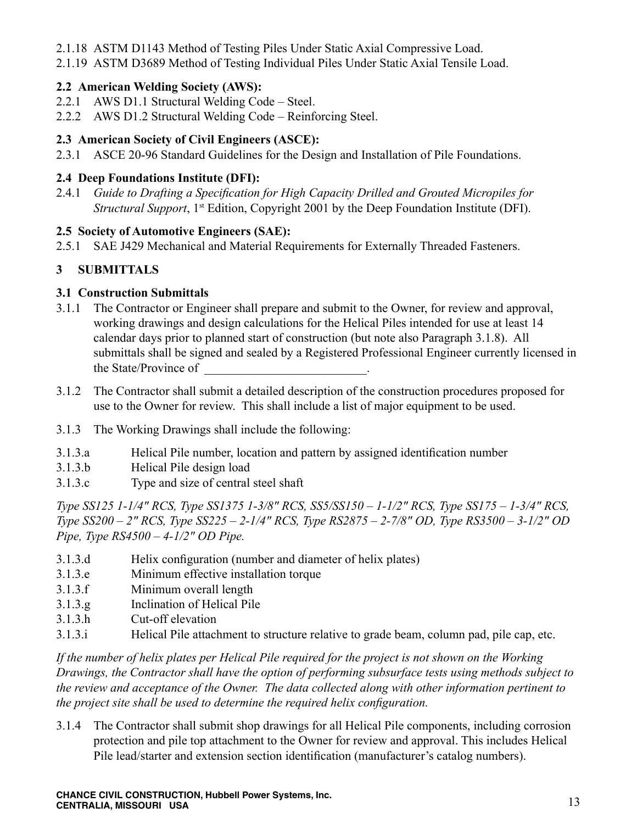- 2.1.18 ASTM D1143 Method of Testing Piles Under Static Axial Compressive Load.
- 2.1.19 ASTM D3689 Method of Testing Individual Piles Under Static Axial Tensile Load.

# **2.2 American Welding Society (AWS):**

- 2.2.1 AWS D1.1 Structural Welding Code Steel.
- 2.2.2 AWS D1.2 Structural Welding Code Reinforcing Steel.

# **2.3 American Society of Civil Engineers (ASCE):**

2.3.1 ASCE 20-96 Standard Guidelines for the Design and Installation of Pile Foundations.

# **2.4 Deep Foundations Institute (DFI):**

2.4.1 *Guide to Drafting a Specification for High Capacity Drilled and Grouted Micropiles for Structural Support*, 1<sup>st</sup> Edition, Copyright 2001 by the Deep Foundation Institute (DFI).

#### **2.5 Society of Automotive Engineers (SAE):**

2.5.1 SAE J429 Mechanical and Material Requirements for Externally Threaded Fasteners.

# **3 SUBMITTALS**

#### **3.1 Construction Submittals**

- 3.1.1 The Contractor or Engineer shall prepare and submit to the Owner, for review and approval, working drawings and design calculations for the Helical Piles intended for use at least 14 calendar days prior to planned start of construction (but note also Paragraph 3.1.8). All submittals shall be signed and sealed by a Registered Professional Engineer currently licensed in the State/Province of
- 3.1.2 The Contractor shall submit a detailed description of the construction procedures proposed for use to the Owner for review. This shall include a list of major equipment to be used.
- 3.1.3 The Working Drawings shall include the following:
- 3.1.3.a Helical Pile number, location and pattern by assigned identification number
- 3.1.3.b Helical Pile design load
- 3.1.3.c Type and size of central steel shaft

*Type SS125 1-1/4" RCS, Type SS1375 1-3/8" RCS, SS5/SS150 – 1-1/2" RCS, Type SS175 – 1-3/4" RCS, Type SS200 – 2" RCS, Type SS225 – 2-1/4" RCS, Type RS2875 – 2-7/8" OD, Type RS3500 – 3-1/2" OD Pipe, Type RS4500 – 4-1/2" OD Pipe.*

- 3.1.3.d Helix configuration (number and diameter of helix plates)
- 3.1.3.e Minimum effective installation torque
- 3.1.3.f Minimum overall length
- 3.1.3.g Inclination of Helical Pile
- 3.1.3.h Cut-off elevation
- 3.1.3.i Helical Pile attachment to structure relative to grade beam, column pad, pile cap, etc.

*If the number of helix plates per Helical Pile required for the project is not shown on the Working Drawings, the Contractor shall have the option of performing subsurface tests using methods subject to the review and acceptance of the Owner. The data collected along with other information pertinent to the project site shall be used to determine the required helix configuration.*

3.1.4 The Contractor shall submit shop drawings for all Helical Pile components, including corrosion protection and pile top attachment to the Owner for review and approval. This includes Helical Pile lead/starter and extension section identification (manufacturer's catalog numbers).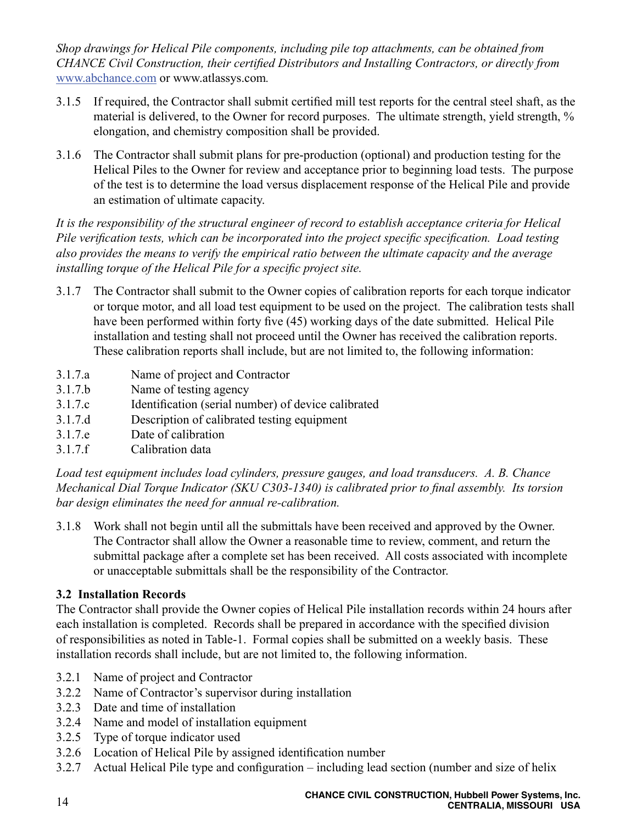*Shop drawings for Helical Pile components, including pile top attachments, can be obtained from CHANCE Civil Construction, their certified Distributors and Installing Contractors, or directly from*  www.abchance.com or www.atlassys.com*.*

- 3.1.5 If required, the Contractor shall submit certified mill test reports for the central steel shaft, as the material is delivered, to the Owner for record purposes. The ultimate strength, yield strength, % elongation, and chemistry composition shall be provided.
- 3.1.6 The Contractor shall submit plans for pre-production (optional) and production testing for the Helical Piles to the Owner for review and acceptance prior to beginning load tests. The purpose of the test is to determine the load versus displacement response of the Helical Pile and provide an estimation of ultimate capacity.

*It is the responsibility of the structural engineer of record to establish acceptance criteria for Helical Pile verification tests, which can be incorporated into the project specific specification. Load testing also provides the means to verify the empirical ratio between the ultimate capacity and the average installing torque of the Helical Pile for a specific project site.*

- 3.1.7 The Contractor shall submit to the Owner copies of calibration reports for each torque indicator or torque motor, and all load test equipment to be used on the project. The calibration tests shall have been performed within forty five (45) working days of the date submitted. Helical Pile installation and testing shall not proceed until the Owner has received the calibration reports. These calibration reports shall include, but are not limited to, the following information:
- 3.1.7.a Name of project and Contractor
- 3.1.7.b Name of testing agency
- 3.1.7.c Identification (serial number) of device calibrated
- 3.1.7.d Description of calibrated testing equipment
- 3.1.7.e Date of calibration
- 3.1.7.f Calibration data

*Load test equipment includes load cylinders, pressure gauges, and load transducers. A. B. Chance Mechanical Dial Torque Indicator (SKU C303-1340) is calibrated prior to final assembly. Its torsion bar design eliminates the need for annual re-calibration.*

3.1.8 Work shall not begin until all the submittals have been received and approved by the Owner. The Contractor shall allow the Owner a reasonable time to review, comment, and return the submittal package after a complete set has been received. All costs associated with incomplete or unacceptable submittals shall be the responsibility of the Contractor.

# **3.2 Installation Records**

The Contractor shall provide the Owner copies of Helical Pile installation records within 24 hours after each installation is completed. Records shall be prepared in accordance with the specified division of responsibilities as noted in Table-1. Formal copies shall be submitted on a weekly basis. These installation records shall include, but are not limited to, the following information.

- 3.2.1 Name of project and Contractor
- 3.2.2 Name of Contractor's supervisor during installation
- 3.2.3 Date and time of installation
- 3.2.4 Name and model of installation equipment
- 3.2.5 Type of torque indicator used
- 3.2.6 Location of Helical Pile by assigned identification number
- 3.2.7 Actual Helical Pile type and configuration including lead section (number and size of helix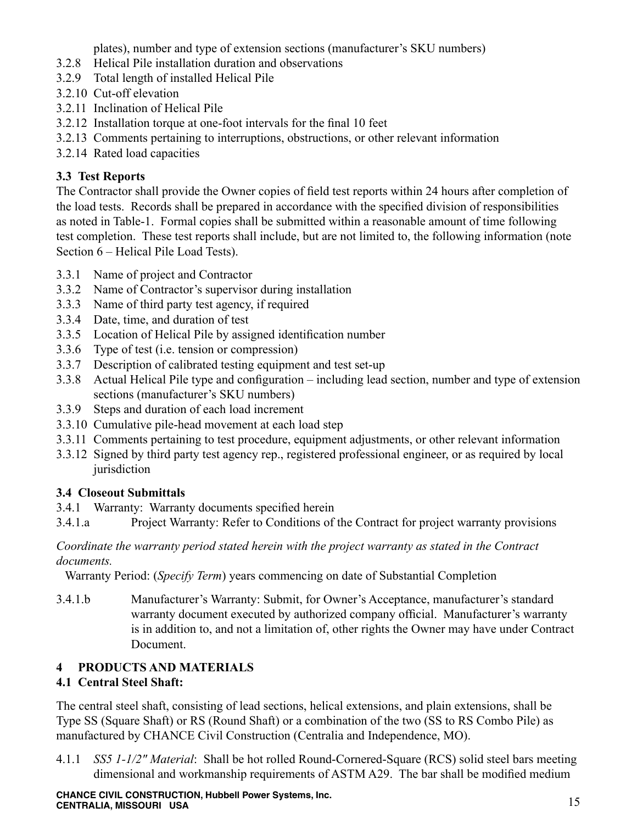plates), number and type of extension sections (manufacturer's SKU numbers)

- 3.2.8 Helical Pile installation duration and observations
- 3.2.9 Total length of installed Helical Pile
- 3.2.10 Cut-off elevation
- 3.2.11 Inclination of Helical Pile
- 3.2.12 Installation torque at one-foot intervals for the final 10 feet
- 3.2.13 Comments pertaining to interruptions, obstructions, or other relevant information
- 3.2.14 Rated load capacities

# **3.3 Test Reports**

The Contractor shall provide the Owner copies of field test reports within 24 hours after completion of the load tests. Records shall be prepared in accordance with the specified division of responsibilities as noted in Table-1. Formal copies shall be submitted within a reasonable amount of time following test completion. These test reports shall include, but are not limited to, the following information (note Section 6 – Helical Pile Load Tests).

- 3.3.1 Name of project and Contractor
- 3.3.2 Name of Contractor's supervisor during installation
- 3.3.3 Name of third party test agency, if required
- 3.3.4 Date, time, and duration of test
- 3.3.5 Location of Helical Pile by assigned identification number
- 3.3.6 Type of test (i.e. tension or compression)
- 3.3.7 Description of calibrated testing equipment and test set-up
- 3.3.8 Actual Helical Pile type and configuration including lead section, number and type of extension sections (manufacturer's SKU numbers)
- 3.3.9 Steps and duration of each load increment
- 3.3.10 Cumulative pile-head movement at each load step
- 3.3.11 Comments pertaining to test procedure, equipment adjustments, or other relevant information
- 3.3.12 Signed by third party test agency rep., registered professional engineer, or as required by local iurisdiction

# **3.4 Closeout Submittals**

- 3.4.1 Warranty: Warranty documents specified herein
- 3.4.1.a Project Warranty: Refer to Conditions of the Contract for project warranty provisions

#### *Coordinate the warranty period stated herein with the project warranty as stated in the Contract documents.*

Warranty Period: (*Specify Term*) years commencing on date of Substantial Completion

3.4.1.b Manufacturer's Warranty: Submit, for Owner's Acceptance, manufacturer's standard warranty document executed by authorized company official. Manufacturer's warranty is in addition to, and not a limitation of, other rights the Owner may have under Contract Document.

# **4 PRODUCTS AND MATERIALS**

# **4.1 Central Steel Shaft:**

The central steel shaft, consisting of lead sections, helical extensions, and plain extensions, shall be Type SS (Square Shaft) or RS (Round Shaft) or a combination of the two (SS to RS Combo Pile) as manufactured by CHANCE Civil Construction (Centralia and Independence, MO).

4.1.1 *SS5 1-1/2" Material*: Shall be hot rolled Round-Cornered-Square (RCS) solid steel bars meeting dimensional and workmanship requirements of ASTM A29. The bar shall be modified medium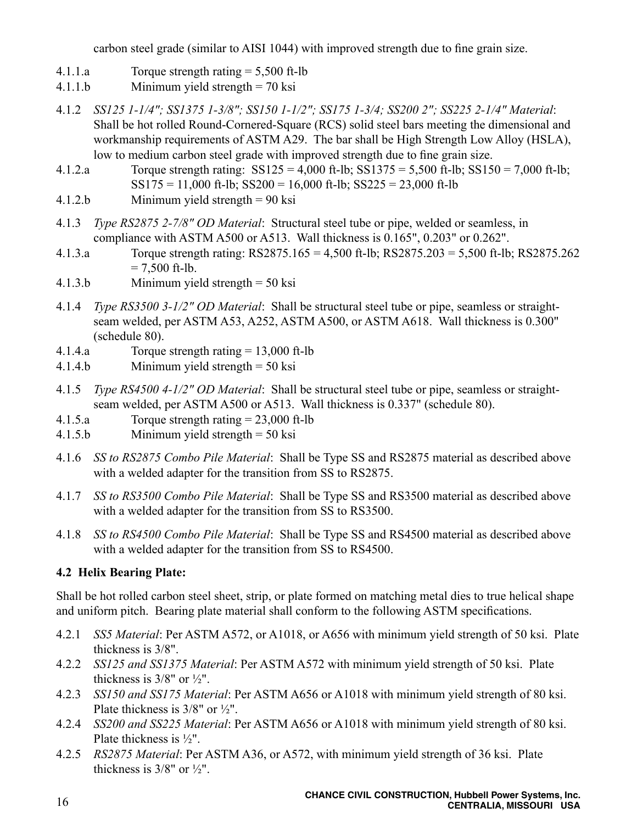carbon steel grade (similar to AISI 1044) with improved strength due to fine grain size.

- 4.1.1.a Torque strength rating = 5,500 ft-lb
- 4.1.1.b Minimum yield strength = 70 ksi
- 4.1.2 *SS125 1-1/4"; SS1375 1-3/8"; SS150 1-1/2"; SS175 1-3/4; SS200 2"; SS225 2-1/4" Material*: Shall be hot rolled Round-Cornered-Square (RCS) solid steel bars meeting the dimensional and workmanship requirements of ASTM A29. The bar shall be High Strength Low Alloy (HSLA), low to medium carbon steel grade with improved strength due to fine grain size.
- 4.1.2.a Torque strength rating: SS125 = 4,000 ft-lb; SS1375 = 5,500 ft-lb; SS150 = 7,000 ft-lb;  $SS175 = 11,000$  ft-lb;  $SS200 = 16,000$  ft-lb;  $SS225 = 23,000$  ft-lb
- 4.1.2.b Minimum yield strength = 90 ksi
- 4.1.3 *Type RS2875 2-7/8" OD Material*: Structural steel tube or pipe, welded or seamless, in compliance with ASTM A500 or A513. Wall thickness is 0.165", 0.203" or 0.262".
- 4.1.3.a Torque strength rating: RS2875.165 = 4,500 ft-lb; RS2875.203 = 5,500 ft-lb; RS2875.262  $= 7,500$  ft-lb.
- 4.1.3.b Minimum yield strength = 50 ksi
- 4.1.4 *Type RS3500 3-1/2" OD Material*: Shall be structural steel tube or pipe, seamless or straightseam welded, per ASTM A53, A252, ASTM A500, or ASTM A618. Wall thickness is 0.300" (schedule 80).
- 4.1.4.a Torque strength rating = 13,000 ft-lb
- 4.1.4.b Minimum yield strength = 50 ksi
- 4.1.5 *Type RS4500 4-1/2" OD Material*: Shall be structural steel tube or pipe, seamless or straightseam welded, per ASTM A500 or A513. Wall thickness is 0.337" (schedule 80).
- 4.1.5.a Torque strength rating = 23,000 ft-lb
- 4.1.5.b Minimum yield strength = 50 ksi
- 4.1.6 *SS to RS2875 Combo Pile Material*: Shall be Type SS and RS2875 material as described above with a welded adapter for the transition from SS to RS2875.
- 4.1.7 *SS to RS3500 Combo Pile Material*: Shall be Type SS and RS3500 material as described above with a welded adapter for the transition from SS to RS3500.
- 4.1.8 *SS to RS4500 Combo Pile Material*: Shall be Type SS and RS4500 material as described above with a welded adapter for the transition from SS to RS4500.

# **4.2 Helix Bearing Plate:**

Shall be hot rolled carbon steel sheet, strip, or plate formed on matching metal dies to true helical shape and uniform pitch. Bearing plate material shall conform to the following ASTM specifications.

- 4.2.1 *SS5 Material*: Per ASTM A572, or A1018, or A656 with minimum yield strength of 50 ksi. Plate thickness is 3/8".
- 4.2.2 *SS125 and SS1375 Material*: Per ASTM A572 with minimum yield strength of 50 ksi. Plate thickness is  $3/8$ " or  $\frac{1}{2}$ ".
- 4.2.3 *SS150 and SS175 Material*: Per ASTM A656 or A1018 with minimum yield strength of 80 ksi. Plate thickness is 3/8" or ½".
- 4.2.4 *SS200 and SS225 Material*: Per ASTM A656 or A1018 with minimum yield strength of 80 ksi. Plate thickness is ½".
- 4.2.5 *RS2875 Material*: Per ASTM A36, or A572, with minimum yield strength of 36 ksi. Plate thickness is  $3/8$ " or  $\frac{1}{2}$ ".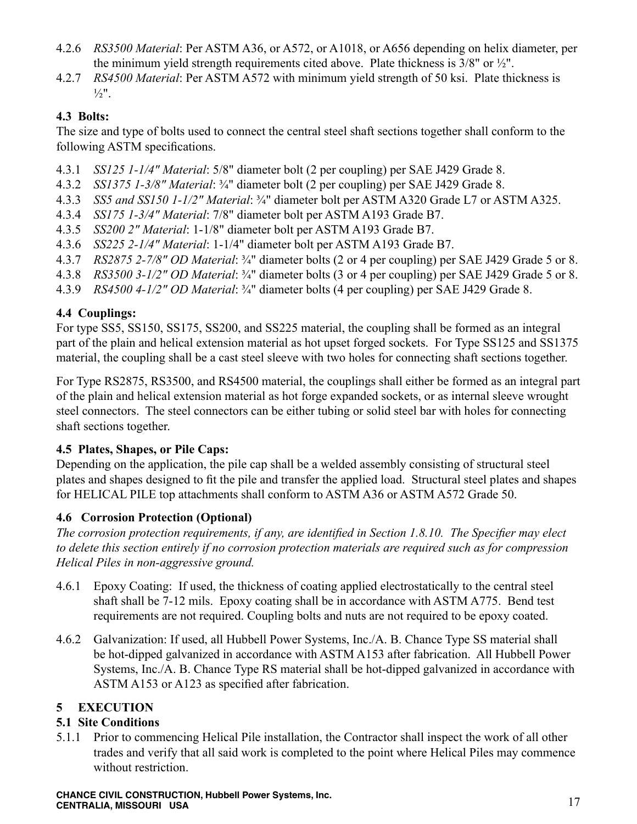- 4.2.6 *RS3500 Material*: Per ASTM A36, or A572, or A1018, or A656 depending on helix diameter, per the minimum yield strength requirements cited above. Plate thickness is 3/8" or ½".
- 4.2.7 *RS4500 Material*: Per ASTM A572 with minimum yield strength of 50 ksi. Plate thickness is  $\frac{1}{2}$ ".

# **4.3 Bolts:**

The size and type of bolts used to connect the central steel shaft sections together shall conform to the following ASTM specifications.

- 4.3.1 *SS125 1-1/4" Material*: 5/8" diameter bolt (2 per coupling) per SAE J429 Grade 8.
- 4.3.2 *SS1375 1-3/8" Material*: ¾" diameter bolt (2 per coupling) per SAE J429 Grade 8.
- 4.3.3 *SS5 and SS150 1-1/2" Material*: ¾" diameter bolt per ASTM A320 Grade L7 or ASTM A325.
- 4.3.4 *SS175 1-3/4" Material*: 7/8" diameter bolt per ASTM A193 Grade B7.
- 4.3.5 *SS200 2" Material*: 1-1/8" diameter bolt per ASTM A193 Grade B7.
- 4.3.6 *SS225 2-1/4" Material*: 1-1/4" diameter bolt per ASTM A193 Grade B7.
- 4.3.7 *RS2875 2-7/8" OD Material*: ¾" diameter bolts (2 or 4 per coupling) per SAE J429 Grade 5 or 8.
- 4.3.8 *RS3500 3-1/2" OD Material*: ¾" diameter bolts (3 or 4 per coupling) per SAE J429 Grade 5 or 8.
- 4.3.9 *RS4500 4-1/2" OD Material*: ¾" diameter bolts (4 per coupling) per SAE J429 Grade 8.

# **4.4 Couplings:**

For type SS5, SS150, SS175, SS200, and SS225 material, the coupling shall be formed as an integral part of the plain and helical extension material as hot upset forged sockets. For Type SS125 and SS1375 material, the coupling shall be a cast steel sleeve with two holes for connecting shaft sections together.

For Type RS2875, RS3500, and RS4500 material, the couplings shall either be formed as an integral part of the plain and helical extension material as hot forge expanded sockets, or as internal sleeve wrought steel connectors. The steel connectors can be either tubing or solid steel bar with holes for connecting shaft sections together.

# **4.5 Plates, Shapes, or Pile Caps:**

Depending on the application, the pile cap shall be a welded assembly consisting of structural steel plates and shapes designed to fit the pile and transfer the applied load. Structural steel plates and shapes for HELICAL PILE top attachments shall conform to ASTM A36 or ASTM A572 Grade 50.

# **4.6 Corrosion Protection (Optional)**

*The corrosion protection requirements, if any, are identified in Section 1.8.10. The Specifier may elect to delete this section entirely if no corrosion protection materials are required such as for compression Helical Piles in non-aggressive ground.*

- 4.6.1 Epoxy Coating: If used, the thickness of coating applied electrostatically to the central steel shaft shall be 7-12 mils. Epoxy coating shall be in accordance with ASTM A775. Bend test requirements are not required. Coupling bolts and nuts are not required to be epoxy coated.
- 4.6.2 Galvanization: If used, all Hubbell Power Systems, Inc./A. B. Chance Type SS material shall be hot-dipped galvanized in accordance with ASTM A153 after fabrication. All Hubbell Power Systems, Inc./A. B. Chance Type RS material shall be hot-dipped galvanized in accordance with ASTM A153 or A123 as specified after fabrication.

# **5 EXECUTION**

# **5.1 Site Conditions**

5.1.1 Prior to commencing Helical Pile installation, the Contractor shall inspect the work of all other trades and verify that all said work is completed to the point where Helical Piles may commence without restriction.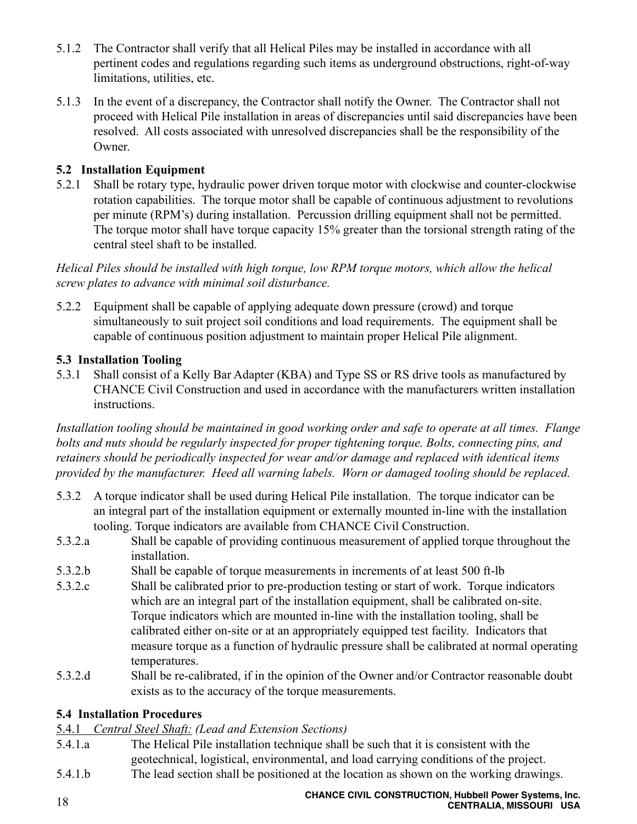- 5.1.2 The Contractor shall verify that all Helical Piles may be installed in accordance with all pertinent codes and regulations regarding such items as underground obstructions, right-of-way limitations, utilities, etc.
- 5.1.3 In the event of a discrepancy, the Contractor shall notify the Owner. The Contractor shall not proceed with Helical Pile installation in areas of discrepancies until said discrepancies have been resolved. All costs associated with unresolved discrepancies shall be the responsibility of the Owner.

# **5.2 Installation Equipment**

5.2.1 Shall be rotary type, hydraulic power driven torque motor with clockwise and counter-clockwise rotation capabilities. The torque motor shall be capable of continuous adjustment to revolutions per minute (RPM's) during installation. Percussion drilling equipment shall not be permitted. The torque motor shall have torque capacity 15% greater than the torsional strength rating of the central steel shaft to be installed.

*Helical Piles should be installed with high torque, low RPM torque motors, which allow the helical screw plates to advance with minimal soil disturbance.*

5.2.2 Equipment shall be capable of applying adequate down pressure (crowd) and torque simultaneously to suit project soil conditions and load requirements. The equipment shall be capable of continuous position adjustment to maintain proper Helical Pile alignment.

#### **5.3 Installation Tooling**

5.3.1 Shall consist of a Kelly Bar Adapter (KBA) and Type SS or RS drive tools as manufactured by CHANCE Civil Construction and used in accordance with the manufacturers written installation instructions.

*Installation tooling should be maintained in good working order and safe to operate at all times. Flange bolts and nuts should be regularly inspected for proper tightening torque. Bolts, connecting pins, and retainers should be periodically inspected for wear and/or damage and replaced with identical items provided by the manufacturer. Heed all warning labels. Worn or damaged tooling should be replaced.*

- 5.3.2 A torque indicator shall be used during Helical Pile installation. The torque indicator can be an integral part of the installation equipment or externally mounted in-line with the installation tooling. Torque indicators are available from CHANCE Civil Construction.
- 5.3.2.a Shall be capable of providing continuous measurement of applied torque throughout the installation.
- 5.3.2.b Shall be capable of torque measurements in increments of at least 500 ft-lb
- 5.3.2.c Shall be calibrated prior to pre-production testing or start of work. Torque indicators which are an integral part of the installation equipment, shall be calibrated on-site. Torque indicators which are mounted in-line with the installation tooling, shall be calibrated either on-site or at an appropriately equipped test facility. Indicators that measure torque as a function of hydraulic pressure shall be calibrated at normal operating temperatures.
- 5.3.2.d Shall be re-calibrated, if in the opinion of the Owner and/or Contractor reasonable doubt exists as to the accuracy of the torque measurements.

# **5.4 Installation Procedures**

5.4.1 *Central Steel Shaft: (Lead and Extension Sections)*

- 5.4.1.a The Helical Pile installation technique shall be such that it is consistent with the geotechnical, logistical, environmental, and load carrying conditions of the project.
- 5.4.1.b The lead section shall be positioned at the location as shown on the working drawings.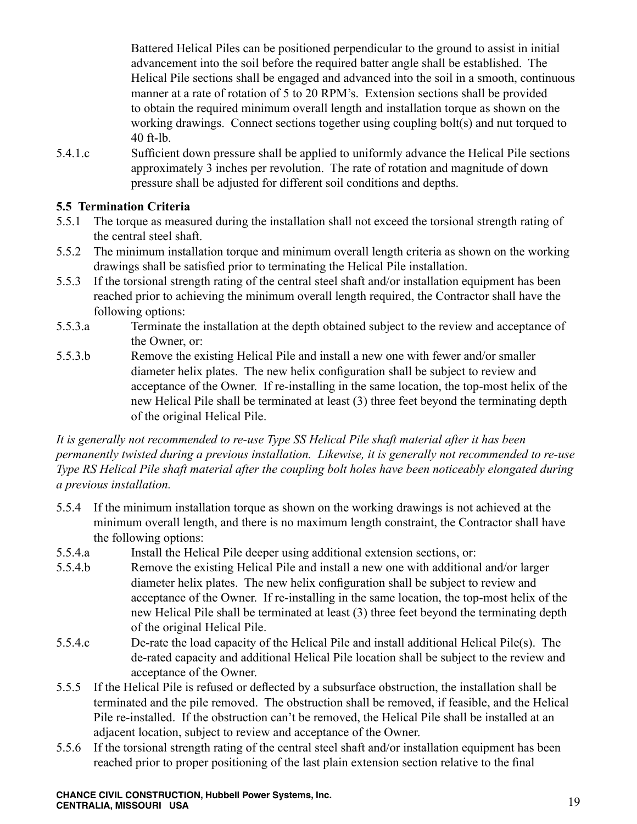Battered Helical Piles can be positioned perpendicular to the ground to assist in initial advancement into the soil before the required batter angle shall be established. The Helical Pile sections shall be engaged and advanced into the soil in a smooth, continuous manner at a rate of rotation of 5 to 20 RPM's. Extension sections shall be provided to obtain the required minimum overall length and installation torque as shown on the working drawings. Connect sections together using coupling bolt(s) and nut torqued to 40 ft-lb.

5.4.1.c Sufficient down pressure shall be applied to uniformly advance the Helical Pile sections approximately 3 inches per revolution. The rate of rotation and magnitude of down pressure shall be adjusted for different soil conditions and depths.

#### **5.5 Termination Criteria**

- 5.5.1 The torque as measured during the installation shall not exceed the torsional strength rating of the central steel shaft.
- 5.5.2 The minimum installation torque and minimum overall length criteria as shown on the working drawings shall be satisfied prior to terminating the Helical Pile installation.
- 5.5.3 If the torsional strength rating of the central steel shaft and/or installation equipment has been reached prior to achieving the minimum overall length required, the Contractor shall have the following options:
- 5.5.3.a Terminate the installation at the depth obtained subject to the review and acceptance of the Owner, or:
- 5.5.3.b Remove the existing Helical Pile and install a new one with fewer and/or smaller diameter helix plates. The new helix configuration shall be subject to review and acceptance of the Owner. If re-installing in the same location, the top-most helix of the new Helical Pile shall be terminated at least (3) three feet beyond the terminating depth of the original Helical Pile.

*It is generally not recommended to re-use Type SS Helical Pile shaft material after it has been permanently twisted during a previous installation. Likewise, it is generally not recommended to re-use Type RS Helical Pile shaft material after the coupling bolt holes have been noticeably elongated during a previous installation.*

- 5.5.4 If the minimum installation torque as shown on the working drawings is not achieved at the minimum overall length, and there is no maximum length constraint, the Contractor shall have the following options:
- 5.5.4.a Install the Helical Pile deeper using additional extension sections, or:
- 5.5.4.b Remove the existing Helical Pile and install a new one with additional and/or larger diameter helix plates. The new helix configuration shall be subject to review and acceptance of the Owner. If re-installing in the same location, the top-most helix of the new Helical Pile shall be terminated at least (3) three feet beyond the terminating depth of the original Helical Pile.
- 5.5.4.c De-rate the load capacity of the Helical Pile and install additional Helical Pile(s). The de-rated capacity and additional Helical Pile location shall be subject to the review and acceptance of the Owner.
- 5.5.5 If the Helical Pile is refused or deflected by a subsurface obstruction, the installation shall be terminated and the pile removed. The obstruction shall be removed, if feasible, and the Helical Pile re-installed. If the obstruction can't be removed, the Helical Pile shall be installed at an adjacent location, subject to review and acceptance of the Owner.
- 5.5.6 If the torsional strength rating of the central steel shaft and/or installation equipment has been reached prior to proper positioning of the last plain extension section relative to the final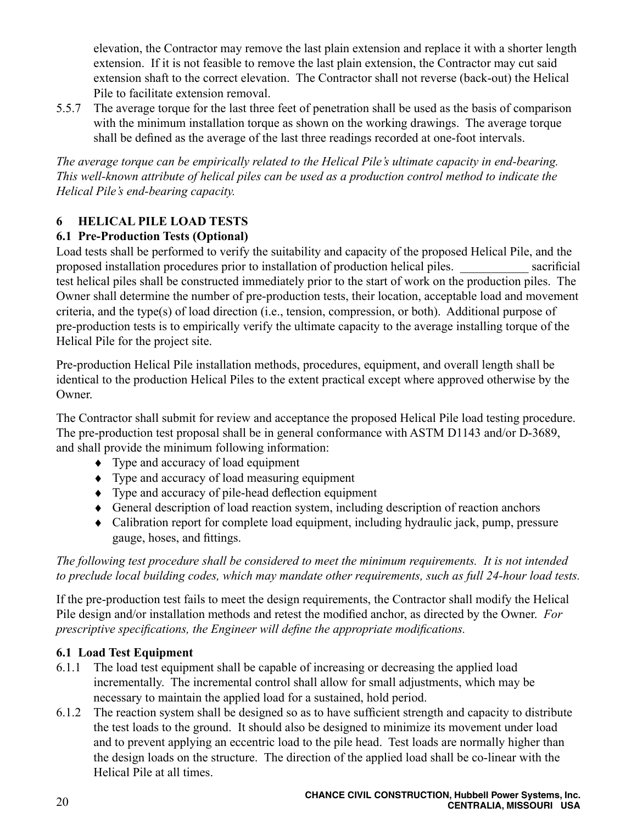elevation, the Contractor may remove the last plain extension and replace it with a shorter length extension. If it is not feasible to remove the last plain extension, the Contractor may cut said extension shaft to the correct elevation. The Contractor shall not reverse (back-out) the Helical Pile to facilitate extension removal.

5.5.7 The average torque for the last three feet of penetration shall be used as the basis of comparison with the minimum installation torque as shown on the working drawings. The average torque shall be defined as the average of the last three readings recorded at one-foot intervals.

*The average torque can be empirically related to the Helical Pile's ultimate capacity in end-bearing. This well-known attribute of helical piles can be used as a production control method to indicate the Helical Pile's end-bearing capacity.* 

# **6 HELICAL PILE LOAD TESTS**

# **6.1 Pre-Production Tests (Optional)**

Load tests shall be performed to verify the suitability and capacity of the proposed Helical Pile, and the proposed installation procedures prior to installation of production helical piles. \_\_\_\_\_\_\_\_\_\_\_ sacrificial test helical piles shall be constructed immediately prior to the start of work on the production piles. The Owner shall determine the number of pre-production tests, their location, acceptable load and movement criteria, and the type(s) of load direction (i.e., tension, compression, or both). Additional purpose of pre-production tests is to empirically verify the ultimate capacity to the average installing torque of the Helical Pile for the project site.

Pre-production Helical Pile installation methods, procedures, equipment, and overall length shall be identical to the production Helical Piles to the extent practical except where approved otherwise by the Owner.

The Contractor shall submit for review and acceptance the proposed Helical Pile load testing procedure. The pre-production test proposal shall be in general conformance with ASTM D1143 and/or D-3689, and shall provide the minimum following information:

- ♦ Type and accuracy of load equipment
- ♦ Type and accuracy of load measuring equipment
- ♦ Type and accuracy of pile-head deflection equipment
- ♦ General description of load reaction system, including description of reaction anchors
- ♦ Calibration report for complete load equipment, including hydraulic jack, pump, pressure gauge, hoses, and fittings.

*The following test procedure shall be considered to meet the minimum requirements. It is not intended to preclude local building codes, which may mandate other requirements, such as full 24-hour load tests.*

If the pre-production test fails to meet the design requirements, the Contractor shall modify the Helical Pile design and/or installation methods and retest the modified anchor, as directed by the Owner. *For prescriptive specifications, the Engineer will define the appropriate modifications.*

# **6.1 Load Test Equipment**

- 6.1.1 The load test equipment shall be capable of increasing or decreasing the applied load incrementally. The incremental control shall allow for small adjustments, which may be necessary to maintain the applied load for a sustained, hold period.
- 6.1.2 The reaction system shall be designed so as to have sufficient strength and capacity to distribute the test loads to the ground. It should also be designed to minimize its movement under load and to prevent applying an eccentric load to the pile head. Test loads are normally higher than the design loads on the structure. The direction of the applied load shall be co-linear with the Helical Pile at all times.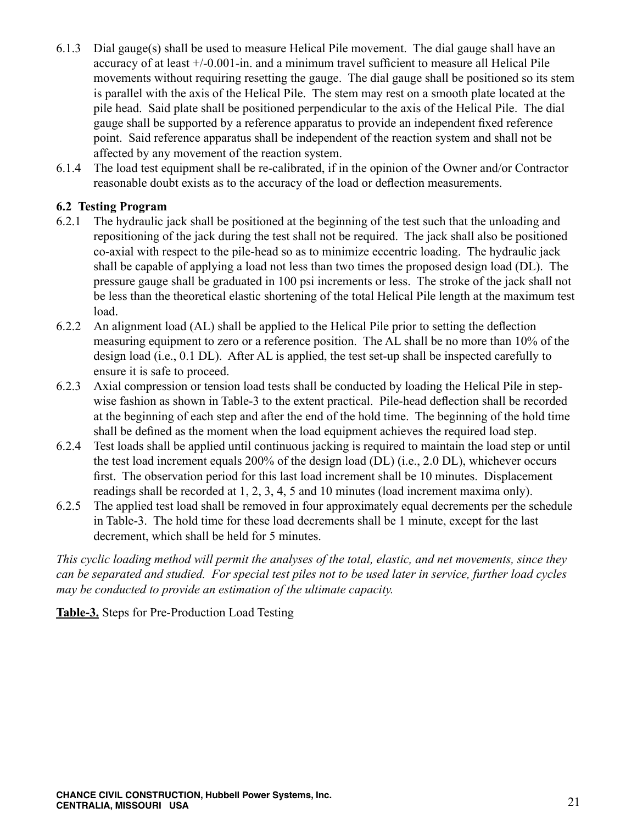- 6.1.3 Dial gauge(s) shall be used to measure Helical Pile movement. The dial gauge shall have an accuracy of at least +/-0.001-in. and a minimum travel sufficient to measure all Helical Pile movements without requiring resetting the gauge. The dial gauge shall be positioned so its stem is parallel with the axis of the Helical Pile. The stem may rest on a smooth plate located at the pile head. Said plate shall be positioned perpendicular to the axis of the Helical Pile. The dial gauge shall be supported by a reference apparatus to provide an independent fixed reference point. Said reference apparatus shall be independent of the reaction system and shall not be affected by any movement of the reaction system.
- 6.1.4 The load test equipment shall be re-calibrated, if in the opinion of the Owner and/or Contractor reasonable doubt exists as to the accuracy of the load or deflection measurements.

#### **6.2 Testing Program**

- 6.2.1 The hydraulic jack shall be positioned at the beginning of the test such that the unloading and repositioning of the jack during the test shall not be required. The jack shall also be positioned co-axial with respect to the pile-head so as to minimize eccentric loading. The hydraulic jack shall be capable of applying a load not less than two times the proposed design load (DL). The pressure gauge shall be graduated in 100 psi increments or less. The stroke of the jack shall not be less than the theoretical elastic shortening of the total Helical Pile length at the maximum test load.
- 6.2.2 An alignment load (AL) shall be applied to the Helical Pile prior to setting the deflection measuring equipment to zero or a reference position. The AL shall be no more than 10% of the design load (i.e., 0.1 DL). After AL is applied, the test set-up shall be inspected carefully to ensure it is safe to proceed.
- 6.2.3 Axial compression or tension load tests shall be conducted by loading the Helical Pile in stepwise fashion as shown in Table-3 to the extent practical. Pile-head deflection shall be recorded at the beginning of each step and after the end of the hold time. The beginning of the hold time shall be defined as the moment when the load equipment achieves the required load step.
- 6.2.4 Test loads shall be applied until continuous jacking is required to maintain the load step or until the test load increment equals 200% of the design load (DL) (i.e., 2.0 DL), whichever occurs first. The observation period for this last load increment shall be 10 minutes. Displacement readings shall be recorded at 1, 2, 3, 4, 5 and 10 minutes (load increment maxima only).
- 6.2.5 The applied test load shall be removed in four approximately equal decrements per the schedule in Table-3. The hold time for these load decrements shall be 1 minute, except for the last decrement, which shall be held for 5 minutes.

*This cyclic loading method will permit the analyses of the total, elastic, and net movements, since they can be separated and studied. For special test piles not to be used later in service, further load cycles may be conducted to provide an estimation of the ultimate capacity.*

**Table-3.** Steps for Pre-Production Load Testing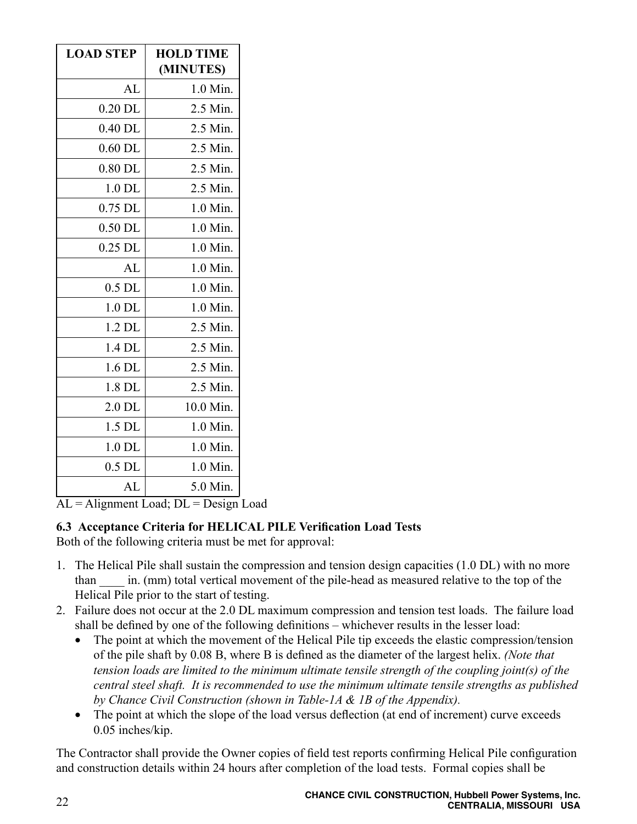| <b>LOAD STEP</b> | <b>HOLD TIME</b><br>(MINUTES) |
|------------------|-------------------------------|
| AL               | 1.0 Min.                      |
| $0.20$ DL        | 2.5 Min.                      |
| $0.40$ DL        | 2.5 Min.                      |
| $0.60$ DL        | 2.5 Min.                      |
| $0.80$ DL        | 2.5 Min.                      |
| 1.0 DL           | 2.5 Min.                      |
| 0.75 DL          | 1.0 Min.                      |
| $0.50$ DL        | 1.0 Min.                      |
| $0.25$ DL        | 1.0 Min.                      |
| AL               | 1.0 Min.                      |
| $0.5$ DL         | 1.0 Min.                      |
| $1.0$ DL         | 1.0 Min.                      |
| $1.2$ DL         | 2.5 Min.                      |
| 1.4 DL           | 2.5 Min.                      |
| 1.6 DL           | 2.5 Min.                      |
| 1.8 DL           | 2.5 Min.                      |
| $2.0$ DL         | 10.0 Min.                     |
| 1.5 DL           | 1.0 Min.                      |
| $1.0$ DL         | 1.0 Min.                      |
| $0.5$ DL         | 1.0 Min.                      |
| AL               | 5.0 Min.                      |

 $AL =$  Alignment Load;  $DL =$  Design Load

# **6.3 Acceptance Criteria for HELICAL PILE Verification Load Tests**

Both of the following criteria must be met for approval:

- 1. The Helical Pile shall sustain the compression and tension design capacities (1.0 DL) with no more than \_\_\_\_ in. (mm) total vertical movement of the pile-head as measured relative to the top of the Helical Pile prior to the start of testing.
- 2. Failure does not occur at the 2.0 DL maximum compression and tension test loads. The failure load shall be defined by one of the following definitions – whichever results in the lesser load:
	- The point at which the movement of the Helical Pile tip exceeds the elastic compression/tension of the pile shaft by 0.08 B, where B is defined as the diameter of the largest helix. *(Note that tension loads are limited to the minimum ultimate tensile strength of the coupling joint(s) of the central steel shaft. It is recommended to use the minimum ultimate tensile strengths as published by Chance Civil Construction (shown in Table-1A & 1B of the Appendix).*
	- The point at which the slope of the load versus deflection (at end of increment) curve exceeds 0.05 inches/kip.

The Contractor shall provide the Owner copies of field test reports confirming Helical Pile configuration and construction details within 24 hours after completion of the load tests. Formal copies shall be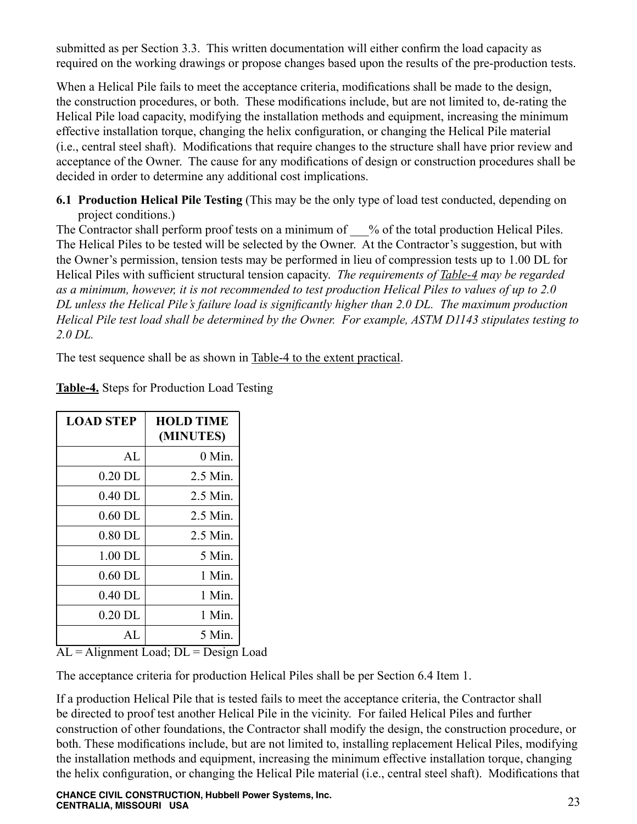submitted as per Section 3.3. This written documentation will either confirm the load capacity as required on the working drawings or propose changes based upon the results of the pre-production tests.

When a Helical Pile fails to meet the acceptance criteria, modifications shall be made to the design, the construction procedures, or both. These modifications include, but are not limited to, de-rating the Helical Pile load capacity, modifying the installation methods and equipment, increasing the minimum effective installation torque, changing the helix configuration, or changing the Helical Pile material (i.e., central steel shaft). Modifications that require changes to the structure shall have prior review and acceptance of the Owner. The cause for any modifications of design or construction procedures shall be decided in order to determine any additional cost implications.

**6.1 Production Helical Pile Testing** (This may be the only type of load test conducted, depending on project conditions.)

The Contractor shall perform proof tests on a minimum of  $\%$  of the total production Helical Piles. The Helical Piles to be tested will be selected by the Owner. At the Contractor's suggestion, but with the Owner's permission, tension tests may be performed in lieu of compression tests up to 1.00 DL for Helical Piles with sufficient structural tension capacity. *The requirements of Table-4 may be regarded as a minimum, however, it is not recommended to test production Helical Piles to values of up to 2.0 DL unless the Helical Pile's failure load is significantly higher than 2.0 DL. The maximum production Helical Pile test load shall be determined by the Owner. For example, ASTM D1143 stipulates testing to 2.0 DL.*

The test sequence shall be as shown in Table-4 to the extent practical.

| <b>LOAD STEP</b> | <b>HOLD TIME</b><br>(MINUTES) |
|------------------|-------------------------------|
| AI.              | $0$ Min.                      |
| $0.20$ DL        | 2.5 Min.                      |
| $0.40$ DL        | 2.5 Min.                      |
| $0.60$ DL        | 2.5 Min.                      |
| $0.80$ DL        | 2.5 Min.                      |
| $1.00$ DL        | $5$ Min.                      |
| $0.60$ DL        | 1 Min.                        |
| $0.40$ DL        | 1 Min.                        |
| $0.20$ DL        | 1 Min.                        |
| AL.              | 5 Min.                        |

**Table-4.** Steps for Production Load Testing

 $AL =$  Alignment Load;  $DL =$  Design Load

The acceptance criteria for production Helical Piles shall be per Section 6.4 Item 1.

If a production Helical Pile that is tested fails to meet the acceptance criteria, the Contractor shall be directed to proof test another Helical Pile in the vicinity. For failed Helical Piles and further construction of other foundations, the Contractor shall modify the design, the construction procedure, or both. These modifications include, but are not limited to, installing replacement Helical Piles, modifying the installation methods and equipment, increasing the minimum effective installation torque, changing the helix configuration, or changing the Helical Pile material (i.e., central steel shaft). Modifications that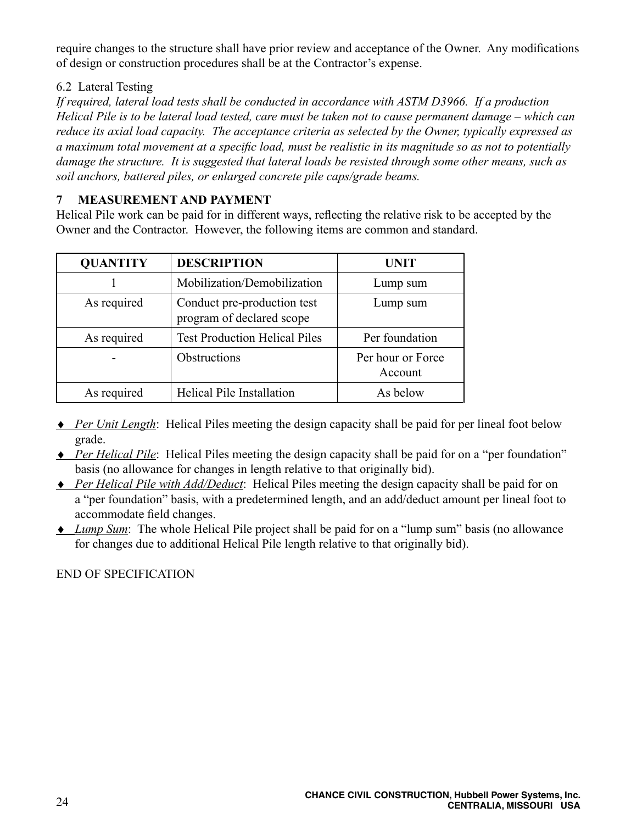require changes to the structure shall have prior review and acceptance of the Owner. Any modifications of design or construction procedures shall be at the Contractor's expense.

#### 6.2 Lateral Testing

*If required, lateral load tests shall be conducted in accordance with ASTM D3966. If a production Helical Pile is to be lateral load tested, care must be taken not to cause permanent damage – which can reduce its axial load capacity. The acceptance criteria as selected by the Owner, typically expressed as a maximum total movement at a specific load, must be realistic in its magnitude so as not to potentially damage the structure. It is suggested that lateral loads be resisted through some other means, such as soil anchors, battered piles, or enlarged concrete pile caps/grade beams.*

#### **7 MEASUREMENT AND PAYMENT**

Helical Pile work can be paid for in different ways, reflecting the relative risk to be accepted by the Owner and the Contractor. However, the following items are common and standard.

| <b>QUANTITY</b> | <b>DESCRIPTION</b>                                       | <b>UNIT</b>                  |
|-----------------|----------------------------------------------------------|------------------------------|
|                 | Mobilization/Demobilization                              | Lump sum                     |
| As required     | Conduct pre-production test<br>program of declared scope | Lump sum                     |
| As required     | <b>Test Production Helical Piles</b>                     | Per foundation               |
|                 | Obstructions                                             | Per hour or Force<br>Account |
| As required     | Helical Pile Installation                                | As below                     |

- ♦ *Per Unit Length*: Helical Piles meeting the design capacity shall be paid for per lineal foot below grade.
- ♦ *Per Helical Pile*: Helical Piles meeting the design capacity shall be paid for on a "per foundation" basis (no allowance for changes in length relative to that originally bid).
- ♦ *Per Helical Pile with Add/Deduct*: Helical Piles meeting the design capacity shall be paid for on a "per foundation" basis, with a predetermined length, and an add/deduct amount per lineal foot to accommodate field changes.
- ♦ *Lump Sum*: The whole Helical Pile project shall be paid for on a "lump sum" basis (no allowance for changes due to additional Helical Pile length relative to that originally bid).

#### END OF SPECIFICATION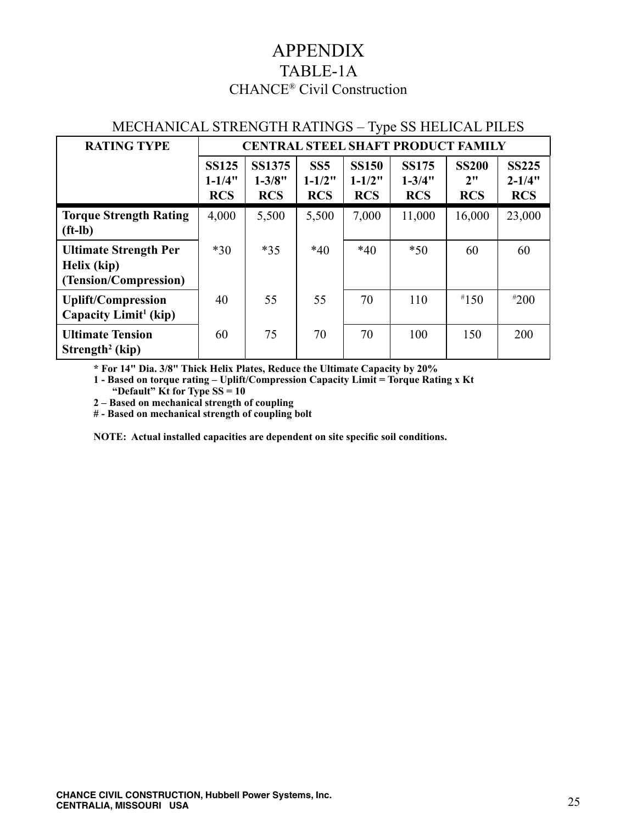# APPENDIX TABLE-1A CHANCE® Civil Construction

| <b>RATING TYPE</b>                                                   | <b>CENTRAL STEEL SHAFT PRODUCT FAMILY</b> |                                           |                                 |                                          |                                          |                                  |                                          |
|----------------------------------------------------------------------|-------------------------------------------|-------------------------------------------|---------------------------------|------------------------------------------|------------------------------------------|----------------------------------|------------------------------------------|
|                                                                      | <b>SS125</b><br>$1 - 1/4"$<br><b>RCS</b>  | <b>SS1375</b><br>$1 - 3/8"$<br><b>RCS</b> | SS5<br>$1 - 1/2"$<br><b>RCS</b> | <b>SS150</b><br>$1 - 1/2"$<br><b>RCS</b> | <b>SS175</b><br>$1 - 3/4"$<br><b>RCS</b> | <b>SS200</b><br>2"<br><b>RCS</b> | <b>SS225</b><br>$2 - 1/4"$<br><b>RCS</b> |
| <b>Torque Strength Rating</b><br>$(ft-lb)$                           | 4,000                                     | 5,500                                     | 5,500                           | 7,000                                    | 11,000                                   | 16,000                           | 23,000                                   |
| <b>Ultimate Strength Per</b><br>Helix (kip)<br>(Tension/Compression) | $*30$                                     | $*35$                                     | $*40$                           | $*40$                                    | $*50$                                    | 60                               | 60                                       |
| <b>Uplift/Compression</b><br>Capacity Limit <sup>1</sup> (kip)       | 40                                        | 55                                        | 55                              | 70                                       | 110                                      | $*150$                           | $*200$                                   |
| <b>Ultimate Tension</b><br>Strength <sup>2</sup> (kip)               | 60                                        | 75                                        | 70                              | 70                                       | 100                                      | 150                              | 200                                      |

# MECHANICAL STRENGTH RATINGS – Type SS HELICAL PILES

**\* For 14" Dia. 3/8" Thick Helix Plates, Reduce the Ultimate Capacity by 20%**

**1 - Based on torque rating – Uplift/Compression Capacity Limit = Torque Rating x Kt**

**"Default" Kt for Type SS = 10** 

**2 – Based on mechanical strength of coupling**

**# - Based on mechanical strength of coupling bolt** 

**NOTE: Actual installed capacities are dependent on site specific soil conditions.**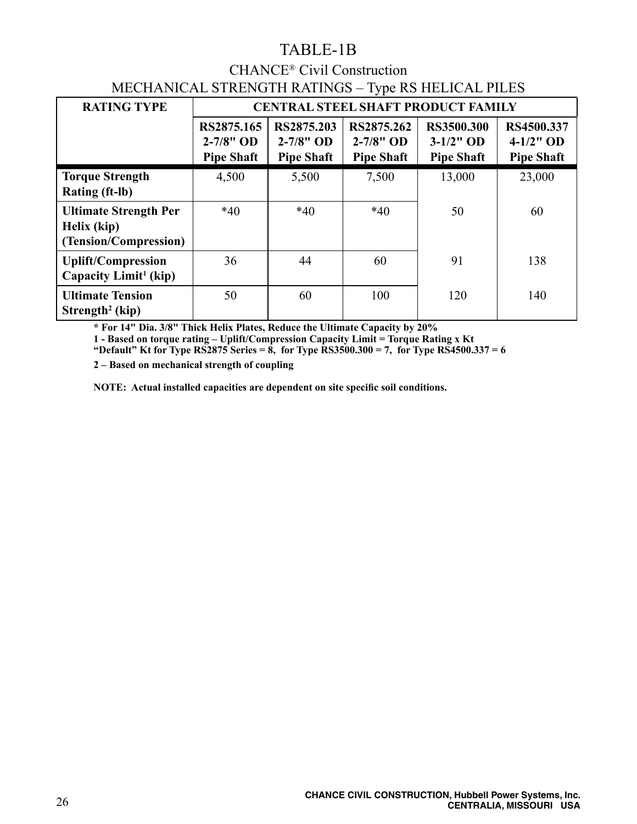# TABLE-1B

# CHANCE® Civil Construction MECHANICAL STRENGTH RATINGS – Type RS HELICAL PILES

| <b>RATING TYPE</b>                                                   | ╯г<br><b>CENTRAL STEEL SHAFT PRODUCT FAMILY</b>  |                                                  |                                                  |                                                 |                                                 |
|----------------------------------------------------------------------|--------------------------------------------------|--------------------------------------------------|--------------------------------------------------|-------------------------------------------------|-------------------------------------------------|
|                                                                      | RS2875.165<br>$2 - 7/8"$ OD<br><b>Pipe Shaft</b> | RS2875.203<br>$2 - 7/8"$ OD<br><b>Pipe Shaft</b> | RS2875.262<br>$2 - 7/8"$ OD<br><b>Pipe Shaft</b> | RS3500.300<br>$3-1/2$ " OD<br><b>Pipe Shaft</b> | RS4500.337<br>$4-1/2$ " OD<br><b>Pipe Shaft</b> |
| <b>Torque Strength</b><br><b>Rating (ft-lb)</b>                      | 4,500                                            | 5,500                                            | 7,500                                            | 13,000                                          | 23,000                                          |
| <b>Ultimate Strength Per</b><br>Helix (kip)<br>(Tension/Compression) | $*40$                                            | $*40$                                            | $*40$                                            | 50                                              | 60                                              |
| <b>Uplift/Compression</b><br>Capacity Limit <sup>1</sup> (kip)       | 36                                               | 44                                               | 60                                               | 91                                              | 138                                             |
| <b>Ultimate Tension</b><br>Strength <sup>2</sup> (kip)               | 50                                               | 60                                               | 100                                              | 120                                             | 140                                             |

**\* For 14" Dia. 3/8" Thick Helix Plates, Reduce the Ultimate Capacity by 20%**

**1 - Based on torque rating – Uplift/Compression Capacity Limit = Torque Rating x Kt "Default" Kt for Type RS2875 Series = 8, for Type RS3500.300 = 7, for Type RS4500.337 = 6**

**2 – Based on mechanical strength of coupling**

**NOTE: Actual installed capacities are dependent on site specific soil conditions.**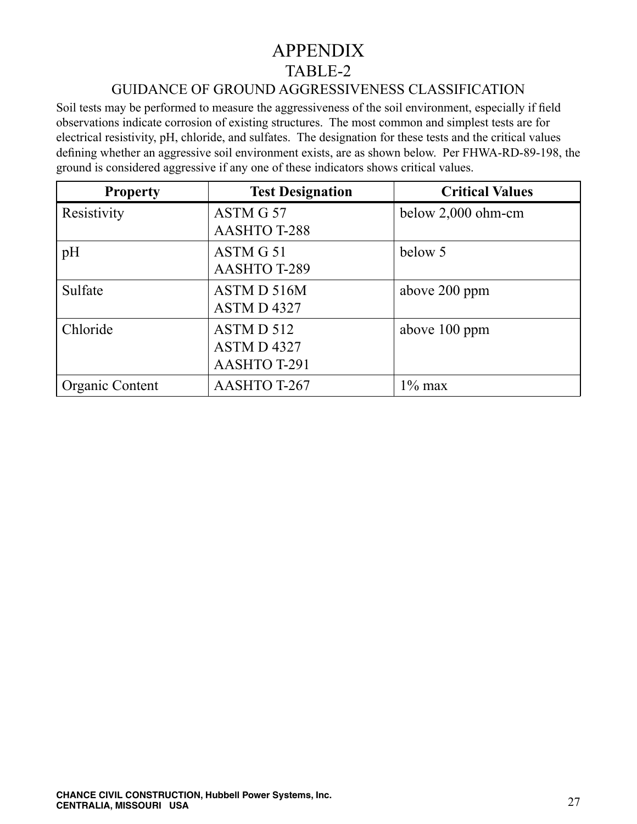# APPENDIX TABLE-2

# GUIDANCE OF GROUND AGGRESSIVENESS CLASSIFICATION

Soil tests may be performed to measure the aggressiveness of the soil environment, especially if field observations indicate corrosion of existing structures. The most common and simplest tests are for electrical resistivity, pH, chloride, and sulfates. The designation for these tests and the critical values defining whether an aggressive soil environment exists, are as shown below. Per FHWA-RD-89-198, the ground is considered aggressive if any one of these indicators shows critical values. l

| <b>Property</b> | <b>Test Designation</b> | <b>Critical Values</b> |
|-----------------|-------------------------|------------------------|
| Resistivity     | ASTM G 57               | below 2,000 ohm-cm     |
|                 | <b>AASHTO T-288</b>     |                        |
| pH              | ASTM G 51               | below 5                |
|                 | <b>AASHTO T-289</b>     |                        |
| Sulfate         | ASTM D 516M             | above 200 ppm          |
|                 | ASTM D4327              |                        |
| Chloride        | ASTM D 512              | above 100 ppm          |
|                 | ASTM D4327              |                        |
|                 | <b>AASHTO T-291</b>     |                        |
| Organic Content | AASHTO T-267            | $1\%$ max              |